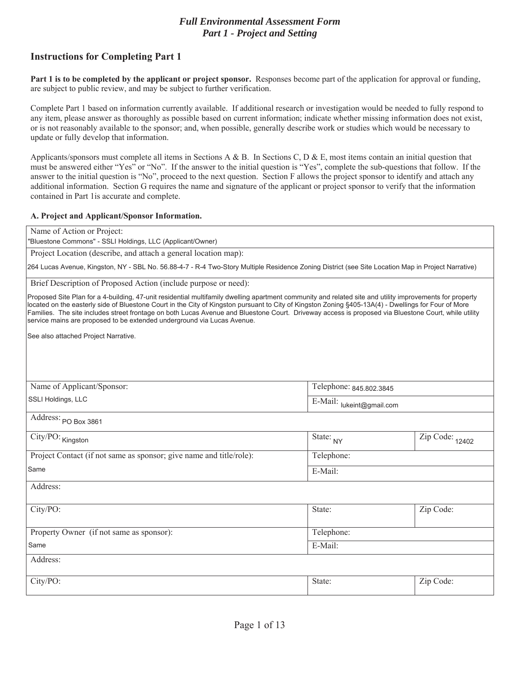## *Full Environmental Assessment Form Part 1 - Project and Setting*

# **Instructions for Completing Part 1**

**Part 1 is to be completed by the applicant or project sponsor.** Responses become part of the application for approval or funding, are subject to public review, and may be subject to further verification.

Complete Part 1 based on information currently available. If additional research or investigation would be needed to fully respond to any item, please answer as thoroughly as possible based on current information; indicate whether missing information does not exist, or is not reasonably available to the sponsor; and, when possible, generally describe work or studies which would be necessary to update or fully develop that information.

Applicants/sponsors must complete all items in Sections A & B. In Sections C, D & E, most items contain an initial question that must be answered either "Yes" or "No". If the answer to the initial question is "Yes", complete the sub-questions that follow. If the answer to the initial question is "No", proceed to the next question. Section F allows the project sponsor to identify and attach any additional information. Section G requires the name and signature of the applicant or project sponsor to verify that the information contained in Part 1is accurate and complete.

### A. Project and Applicant/Sponsor Information.

| Name of Action or Project:                                                                                                                                                                                                                                                                                                                                                                                                                                                                                                                          |                         |                                            |  |
|-----------------------------------------------------------------------------------------------------------------------------------------------------------------------------------------------------------------------------------------------------------------------------------------------------------------------------------------------------------------------------------------------------------------------------------------------------------------------------------------------------------------------------------------------------|-------------------------|--------------------------------------------|--|
| 'Bluestone Commons" - SSLI Holdings, LLC (Applicant/Owner)                                                                                                                                                                                                                                                                                                                                                                                                                                                                                          |                         |                                            |  |
| Project Location (describe, and attach a general location map):                                                                                                                                                                                                                                                                                                                                                                                                                                                                                     |                         |                                            |  |
| 264 Lucas Avenue, Kingston, NY - SBL No. 56.88-4-7 - R-4 Two-Story Multiple Residence Zoning District (see Site Location Map in Project Narrative)                                                                                                                                                                                                                                                                                                                                                                                                  |                         |                                            |  |
| Brief Description of Proposed Action (include purpose or need):                                                                                                                                                                                                                                                                                                                                                                                                                                                                                     |                         |                                            |  |
| Proposed Site Plan for a 4-building, 47-unit residential multifamily dwelling apartment community and related site and utility improvements for property<br>located on the easterly side of Bluestone Court in the City of Kingston pursuant to City of Kingston Zoning §405-13A(4) - Dwellings for Four of More<br>Families. The site includes street frontage on both Lucas Avenue and Bluestone Court. Driveway access is proposed via Bluestone Court, while utility<br>service mains are proposed to be extended underground via Lucas Avenue. |                         |                                            |  |
| See also attached Project Narrative.                                                                                                                                                                                                                                                                                                                                                                                                                                                                                                                |                         |                                            |  |
|                                                                                                                                                                                                                                                                                                                                                                                                                                                                                                                                                     |                         |                                            |  |
|                                                                                                                                                                                                                                                                                                                                                                                                                                                                                                                                                     |                         |                                            |  |
| Name of Applicant/Sponsor:                                                                                                                                                                                                                                                                                                                                                                                                                                                                                                                          | Telephone: 845.802.3845 |                                            |  |
| SSLI Holdings, LLC                                                                                                                                                                                                                                                                                                                                                                                                                                                                                                                                  |                         |                                            |  |
| E-Mail: lukeint@gmail.com                                                                                                                                                                                                                                                                                                                                                                                                                                                                                                                           |                         |                                            |  |
| Address: PO Box 3861                                                                                                                                                                                                                                                                                                                                                                                                                                                                                                                                |                         |                                            |  |
| City/PO: Kingston                                                                                                                                                                                                                                                                                                                                                                                                                                                                                                                                   | State: NY               | $\overline{\mathrm{Zip}}$ Code: $_{12402}$ |  |
| Project Contact (if not same as sponsor; give name and title/role):                                                                                                                                                                                                                                                                                                                                                                                                                                                                                 | Telephone:              |                                            |  |
| Same                                                                                                                                                                                                                                                                                                                                                                                                                                                                                                                                                | E-Mail:                 |                                            |  |
| Address:                                                                                                                                                                                                                                                                                                                                                                                                                                                                                                                                            |                         |                                            |  |
|                                                                                                                                                                                                                                                                                                                                                                                                                                                                                                                                                     |                         |                                            |  |
| City/PO:                                                                                                                                                                                                                                                                                                                                                                                                                                                                                                                                            | State:                  | Zip Code:                                  |  |
| Property Owner (if not same as sponsor):                                                                                                                                                                                                                                                                                                                                                                                                                                                                                                            | Telephone:              |                                            |  |
| Same                                                                                                                                                                                                                                                                                                                                                                                                                                                                                                                                                | E-Mail:                 |                                            |  |
| Address:                                                                                                                                                                                                                                                                                                                                                                                                                                                                                                                                            |                         |                                            |  |
|                                                                                                                                                                                                                                                                                                                                                                                                                                                                                                                                                     |                         |                                            |  |
| City/PO:                                                                                                                                                                                                                                                                                                                                                                                                                                                                                                                                            | State:                  | Zip Code:                                  |  |
|                                                                                                                                                                                                                                                                                                                                                                                                                                                                                                                                                     |                         |                                            |  |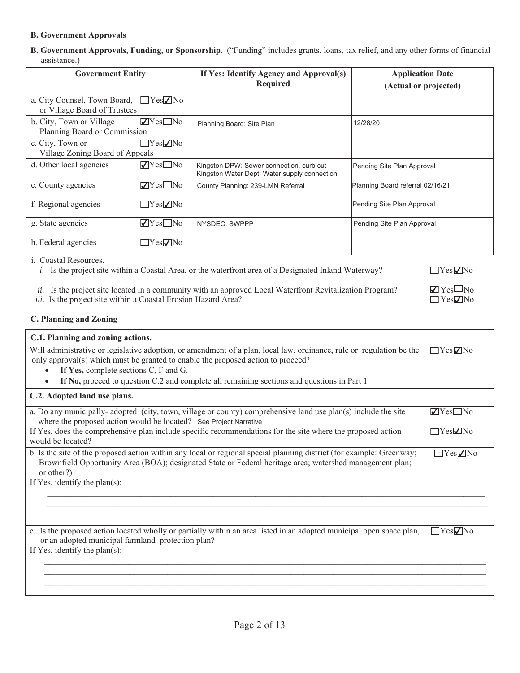### **B. Government Approvals**

| <b>B. Government Approvals, Funding, or Sponsorship.</b> ("Funding" includes grants, loans, tax relief, and any other forms of financial<br>assistance.)                                                                                 |  |                                                                                                              |                                                  |                      |
|------------------------------------------------------------------------------------------------------------------------------------------------------------------------------------------------------------------------------------------|--|--------------------------------------------------------------------------------------------------------------|--------------------------------------------------|----------------------|
| <b>Government Entity</b>                                                                                                                                                                                                                 |  | If Yes: Identify Agency and Approval(s)<br><b>Required</b>                                                   | <b>Application Date</b><br>(Actual or projected) |                      |
| a. City Counsel, Town Board, □ Yes☑ No<br>or Village Board of Trustees                                                                                                                                                                   |  |                                                                                                              |                                                  |                      |
| $\sqrt{Y}$ es $\Box$ No<br>b. City, Town or Village<br>Planning Board or Commission                                                                                                                                                      |  | Planning Board: Site Plan                                                                                    | 12/28/20                                         |                      |
| $\Box$ Yes $\neg$ No<br>c. City, Town or<br>Village Zoning Board of Appeals                                                                                                                                                              |  |                                                                                                              |                                                  |                      |
| $\blacksquare$ Yes $\square$ No<br>d. Other local agencies                                                                                                                                                                               |  | Kingston DPW: Sewer connection, curb cut<br>Kingston Water Dept: Water supply connection                     | Pending Site Plan Approval                       |                      |
| $\nabla$ Yes $\square$ No<br>e. County agencies                                                                                                                                                                                          |  | County Planning: 239-LMN Referral                                                                            | Planning Board referral 02/16/21                 |                      |
| f. Regional agencies<br>$\Box$ Yes $\neg$ No                                                                                                                                                                                             |  |                                                                                                              | Pending Site Plan Approval                       |                      |
| $\blacksquare$ Yes $\blacksquare$ No<br>g. State agencies                                                                                                                                                                                |  | NYSDEC: SWPPP                                                                                                | Pending Site Plan Approval                       |                      |
| h. Federal agencies<br>$\Box$ Yes $\nabla$ No                                                                                                                                                                                            |  |                                                                                                              |                                                  |                      |
| i. Coastal Resources.                                                                                                                                                                                                                    |  | <i>i.</i> Is the project site within a Coastal Area, or the waterfront area of a Designated Inland Waterway? |                                                  | $\Box$ Yes $\Box$ No |
| $\blacksquare$ Yes $\square$ No<br>Is the project site located in a community with an approved Local Waterfront Revitalization Program?<br>ii.<br>iii. Is the project site within a Coastal Erosion Hazard Area?<br>$\Box$ Yes $\Box$ No |  |                                                                                                              |                                                  |                      |

# **C. Planning and Zoning**

| C.1. Planning and zoning actions.                                                                                                                                                                                                                                                                                                               |                        |
|-------------------------------------------------------------------------------------------------------------------------------------------------------------------------------------------------------------------------------------------------------------------------------------------------------------------------------------------------|------------------------|
| Will administrative or legislative adoption, or amendment of a plan, local law, ordinance, rule or regulation be the<br>only approval(s) which must be granted to enable the proposed action to proceed?<br>If Yes, complete sections C, F and G.<br>If No, proceed to question C.2 and complete all remaining sections and questions in Part 1 | $\Box$ Yes $\nabla$ No |
| C.2. Adopted land use plans.                                                                                                                                                                                                                                                                                                                    |                        |
| a. Do any municipally-adopted (city, town, village or county) comprehensive land use plan(s) include the site<br>where the proposed action would be located? See Project Narrative                                                                                                                                                              | $\Box$ Yes $\Box$ No   |
| If Yes, does the comprehensive plan include specific recommendations for the site where the proposed action<br>would be located?                                                                                                                                                                                                                | $\Box$ Yes $\Box$ No   |
| b. Is the site of the proposed action within any local or regional special planning district (for example: Greenway;<br>Brownfield Opportunity Area (BOA); designated State or Federal heritage area; watershed management plan;<br>or other?)<br>If Yes, identify the plan(s):                                                                 | $\Box$ Yes $\nabla$ No |
|                                                                                                                                                                                                                                                                                                                                                 |                        |
| c. Is the proposed action located wholly or partially within an area listed in an adopted municipal open space plan,<br>or an adopted municipal farmland protection plan?<br>If Yes, identify the plan(s):                                                                                                                                      | $\Box$ Yes $\nabla$ No |
|                                                                                                                                                                                                                                                                                                                                                 |                        |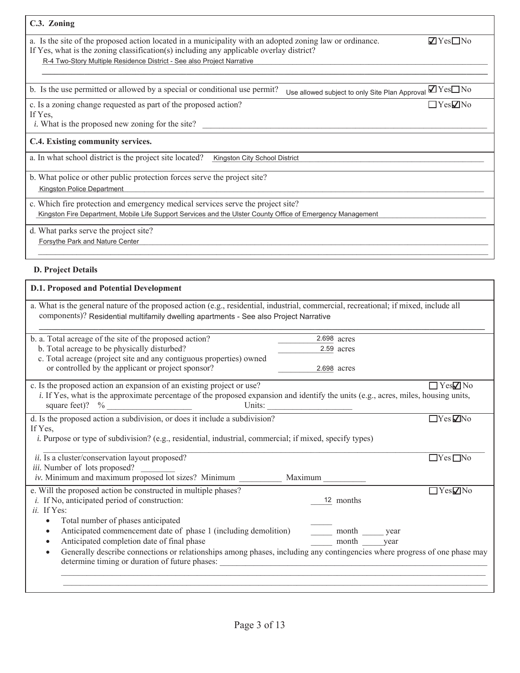| C.3. Zoning                                                                                                                                                                                                                                                                   |                                      |
|-------------------------------------------------------------------------------------------------------------------------------------------------------------------------------------------------------------------------------------------------------------------------------|--------------------------------------|
| a. Is the site of the proposed action located in a municipality with an adopted zoning law or ordinance.<br>If Yes, what is the zoning classification(s) including any applicable overlay district?<br>R-4 Two-Story Multiple Residence District - See also Project Narrative | $\blacksquare$ Yes $\blacksquare$ No |
|                                                                                                                                                                                                                                                                               |                                      |
| b. Is the use permitted or allowed by a special or conditional use permit?<br>Use allowed subject to only Site Plan Approval                                                                                                                                                  | $\blacksquare$ Yes $\blacksquare$ No |
| c. Is a zoning change requested as part of the proposed action?<br>If Yes,<br><i>i</i> . What is the proposed new zoning for the site?                                                                                                                                        | $\Box$ Yes $\nabla$ No               |
| C.4. Existing community services.                                                                                                                                                                                                                                             |                                      |
| a. In what school district is the project site located?<br>Kingston City School District                                                                                                                                                                                      |                                      |
| b. What police or other public protection forces serve the project site?<br>Kingston Police Department                                                                                                                                                                        |                                      |
| c. Which fire protection and emergency medical services serve the project site?<br>Kingston Fire Department, Mobile Life Support Services and the Ulster County Office of Emergency Management                                                                                |                                      |
| d. What parks serve the project site?<br>Forsythe Park and Nature Center                                                                                                                                                                                                      |                                      |

### **D. Project Details**

| a. What is the general nature of the proposed action (e.g., residential, industrial, commercial, recreational; if mixed, include all<br>components)? Residential multifamily dwelling apartments - See also Project Narrative |               |                        |
|-------------------------------------------------------------------------------------------------------------------------------------------------------------------------------------------------------------------------------|---------------|------------------------|
| b. a. Total acreage of the site of the proposed action?                                                                                                                                                                       | 2.698 acres   |                        |
| b. Total acreage to be physically disturbed?                                                                                                                                                                                  | 2.59 acres    |                        |
| c. Total acreage (project site and any contiguous properties) owned                                                                                                                                                           |               |                        |
| or controlled by the applicant or project sponsor?                                                                                                                                                                            | 2.698 acres   |                        |
| c. Is the proposed action an expansion of an existing project or use?                                                                                                                                                         |               | $\Box$ Yes $\nabla$ No |
| i. If Yes, what is the approximate percentage of the proposed expansion and identify the units (e.g., acres, miles, housing units,<br>square feet)? $\%$<br>Units:                                                            |               |                        |
| d. Is the proposed action a subdivision, or does it include a subdivision?                                                                                                                                                    |               | $\Box$ Yes $\nabla$ No |
| If Yes,                                                                                                                                                                                                                       |               |                        |
| <i>i.</i> Purpose or type of subdivision? (e.g., residential, industrial, commercial; if mixed, specify types)                                                                                                                |               |                        |
|                                                                                                                                                                                                                               |               |                        |
| ii. Is a cluster/conservation layout proposed?<br>iii. Number of lots proposed?                                                                                                                                               |               | $\Box$ Yes $\Box$ No   |
| iv. Minimum and maximum proposed lot sizes? Minimum Maximum                                                                                                                                                                   |               |                        |
|                                                                                                                                                                                                                               |               |                        |
| e. Will the proposed action be constructed in multiple phases?                                                                                                                                                                |               | $\Box$ Yes $\nabla$ No |
| <i>i</i> . If No, anticipated period of construction:                                                                                                                                                                         | 12 months     |                        |
| ii. If Yes:                                                                                                                                                                                                                   |               |                        |
| Total number of phases anticipated<br>$\bullet$                                                                                                                                                                               |               |                        |
| Anticipated commencement date of phase 1 (including demolition)<br>$\bullet$                                                                                                                                                  | month<br>year |                        |
| Anticipated completion date of final phase<br>$\bullet$                                                                                                                                                                       | month<br>year |                        |
| Generally describe connections or relationships among phases, including any contingencies where progress of one phase may<br>$\bullet$<br>determine timing or duration of future phases:                                      |               |                        |
|                                                                                                                                                                                                                               |               |                        |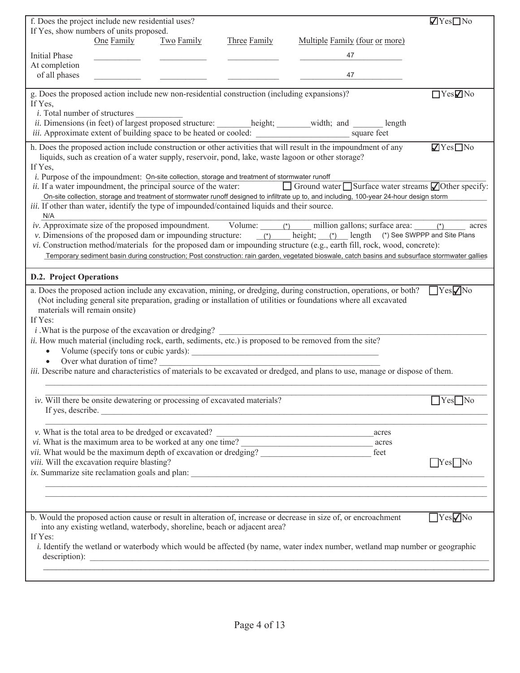|                                          | f. Does the project include new residential uses?                         |            |                                                                                               |                                                                                                                                                                                                                                                                                 | $\blacksquare$ Yes $\blacksquare$ No |
|------------------------------------------|---------------------------------------------------------------------------|------------|-----------------------------------------------------------------------------------------------|---------------------------------------------------------------------------------------------------------------------------------------------------------------------------------------------------------------------------------------------------------------------------------|--------------------------------------|
|                                          | If Yes, show numbers of units proposed.                                   |            |                                                                                               |                                                                                                                                                                                                                                                                                 |                                      |
|                                          | One Family                                                                | Two Family | Three Family                                                                                  | Multiple Family (four or more)                                                                                                                                                                                                                                                  |                                      |
| <b>Initial Phase</b>                     |                                                                           |            |                                                                                               | 47                                                                                                                                                                                                                                                                              |                                      |
| At completion                            |                                                                           |            |                                                                                               |                                                                                                                                                                                                                                                                                 |                                      |
| of all phases                            |                                                                           |            |                                                                                               | 47                                                                                                                                                                                                                                                                              |                                      |
|                                          |                                                                           |            |                                                                                               |                                                                                                                                                                                                                                                                                 |                                      |
|                                          |                                                                           |            | g. Does the proposed action include new non-residential construction (including expansions)?  |                                                                                                                                                                                                                                                                                 | $\Box$ Yes $\Box$ No                 |
| If Yes,                                  |                                                                           |            |                                                                                               |                                                                                                                                                                                                                                                                                 |                                      |
| <i>i</i> . Total number of structures    |                                                                           |            |                                                                                               | ii. Dimensions (in feet) of largest proposed structure: _______height; ______width; and ______ length                                                                                                                                                                           |                                      |
|                                          |                                                                           |            |                                                                                               |                                                                                                                                                                                                                                                                                 |                                      |
|                                          |                                                                           |            |                                                                                               |                                                                                                                                                                                                                                                                                 |                                      |
|                                          |                                                                           |            |                                                                                               | h. Does the proposed action include construction or other activities that will result in the impoundment of any                                                                                                                                                                 | $\sqrt{Y}$ es $\Box$ No              |
| If Yes,                                  |                                                                           |            |                                                                                               | liquids, such as creation of a water supply, reservoir, pond, lake, waste lagoon or other storage?                                                                                                                                                                              |                                      |
|                                          |                                                                           |            | i. Purpose of the impoundment: On-site collection, storage and treatment of stormwater runoff |                                                                                                                                                                                                                                                                                 |                                      |
|                                          | <i>ii.</i> If a water impoundment, the principal source of the water:     |            |                                                                                               | $\Box$ Ground water $\Box$ Surface water streams $\Box$ Other specify:                                                                                                                                                                                                          |                                      |
|                                          |                                                                           |            |                                                                                               | On-site collection, storage and treatment of stormwater runoff designed to infiltrate up to, and including, 100-year 24-hour design storm                                                                                                                                       |                                      |
|                                          |                                                                           |            | iii. If other than water, identify the type of impounded/contained liquids and their source.  |                                                                                                                                                                                                                                                                                 |                                      |
| N/A                                      |                                                                           |            |                                                                                               |                                                                                                                                                                                                                                                                                 |                                      |
|                                          |                                                                           |            |                                                                                               | <i>iv.</i> Approximate size of the proposed impoundment. Volume: $\frac{(\ast)}{(\ast)}$ million gallons; surface area: $\frac{(\ast)}{(\ast)}$ ac<br>v. Dimensions of the proposed dam or impounding structure: $\frac{(\ast)}{(\ast)}$ height; $\frac{(\ast)}{(\ast)}$ length | acres                                |
|                                          |                                                                           |            |                                                                                               |                                                                                                                                                                                                                                                                                 |                                      |
|                                          |                                                                           |            |                                                                                               | vi. Construction method/materials for the proposed dam or impounding structure (e.g., earth fill, rock, wood, concrete):                                                                                                                                                        |                                      |
|                                          |                                                                           |            |                                                                                               | Temporary sediment basin during construction; Post construction: rain garden, vegetated bioswale, catch basins and subsurface stormwater gallies                                                                                                                                |                                      |
|                                          |                                                                           |            |                                                                                               |                                                                                                                                                                                                                                                                                 |                                      |
| <b>D.2. Project Operations</b>           |                                                                           |            |                                                                                               |                                                                                                                                                                                                                                                                                 |                                      |
|                                          |                                                                           |            |                                                                                               | a. Does the proposed action include any excavation, mining, or dredging, during construction, operations, or both?                                                                                                                                                              | $\gamma$ es $\nabla$ No              |
|                                          |                                                                           |            |                                                                                               | (Not including general site preparation, grading or installation of utilities or foundations where all excavated                                                                                                                                                                |                                      |
| materials will remain onsite)<br>If Yes: |                                                                           |            |                                                                                               |                                                                                                                                                                                                                                                                                 |                                      |
|                                          | <i>i</i> . What is the purpose of the excavation or dredging?             |            |                                                                                               |                                                                                                                                                                                                                                                                                 |                                      |
|                                          |                                                                           |            |                                                                                               | ii. How much material (including rock, earth, sediments, etc.) is proposed to be removed from the site?                                                                                                                                                                         |                                      |
| $\bullet$                                |                                                                           |            |                                                                                               |                                                                                                                                                                                                                                                                                 |                                      |
| $\bullet$                                | Over what duration of time?                                               |            |                                                                                               |                                                                                                                                                                                                                                                                                 |                                      |
|                                          |                                                                           |            |                                                                                               | <i>iii.</i> Describe nature and characteristics of materials to be excavated or dredged, and plans to use, manage or dispose of them.                                                                                                                                           |                                      |
|                                          |                                                                           |            |                                                                                               |                                                                                                                                                                                                                                                                                 |                                      |
|                                          |                                                                           |            |                                                                                               |                                                                                                                                                                                                                                                                                 |                                      |
|                                          | iv. Will there be onsite dewatering or processing of excavated materials? |            |                                                                                               |                                                                                                                                                                                                                                                                                 | $\Box$ Yes $\Box$ No                 |
|                                          |                                                                           |            | If yes, describe.                                                                             |                                                                                                                                                                                                                                                                                 |                                      |
|                                          |                                                                           |            |                                                                                               |                                                                                                                                                                                                                                                                                 |                                      |
|                                          |                                                                           |            |                                                                                               | v. What is the total area to be dredged or excavated?<br>acres                                                                                                                                                                                                                  |                                      |
|                                          |                                                                           |            |                                                                                               | vii. What would be the maximum depth of excavation or dredging?<br>feet                                                                                                                                                                                                         |                                      |
|                                          | viii. Will the excavation require blasting?                               |            |                                                                                               |                                                                                                                                                                                                                                                                                 | $\Box$ Yes $\Box$ No                 |
|                                          |                                                                           |            |                                                                                               |                                                                                                                                                                                                                                                                                 |                                      |
|                                          |                                                                           |            |                                                                                               | ,我们也不能在这里的时候,我们也不能在这里的时候,我们也不能会在这里的时候,我们也不能会在这里的时候,我们也不能会在这里的时候,我们也不能会在这里的时候,我们也                                                                                                                                                                                                |                                      |
|                                          |                                                                           |            |                                                                                               |                                                                                                                                                                                                                                                                                 |                                      |
|                                          |                                                                           |            |                                                                                               |                                                                                                                                                                                                                                                                                 |                                      |
|                                          |                                                                           |            |                                                                                               | b. Would the proposed action cause or result in alteration of, increase or decrease in size of, or encroachment                                                                                                                                                                 | $\Box$ Yes $\nabla$ No               |
|                                          |                                                                           |            | into any existing wetland, waterbody, shoreline, beach or adjacent area?                      |                                                                                                                                                                                                                                                                                 |                                      |
| If Yes:                                  |                                                                           |            |                                                                                               |                                                                                                                                                                                                                                                                                 |                                      |
|                                          |                                                                           |            |                                                                                               | <i>i</i> . Identify the wetland or waterbody which would be affected (by name, water index number, wetland map number or geographic                                                                                                                                             |                                      |
|                                          |                                                                           |            |                                                                                               |                                                                                                                                                                                                                                                                                 |                                      |
|                                          |                                                                           |            |                                                                                               |                                                                                                                                                                                                                                                                                 |                                      |
|                                          |                                                                           |            |                                                                                               |                                                                                                                                                                                                                                                                                 |                                      |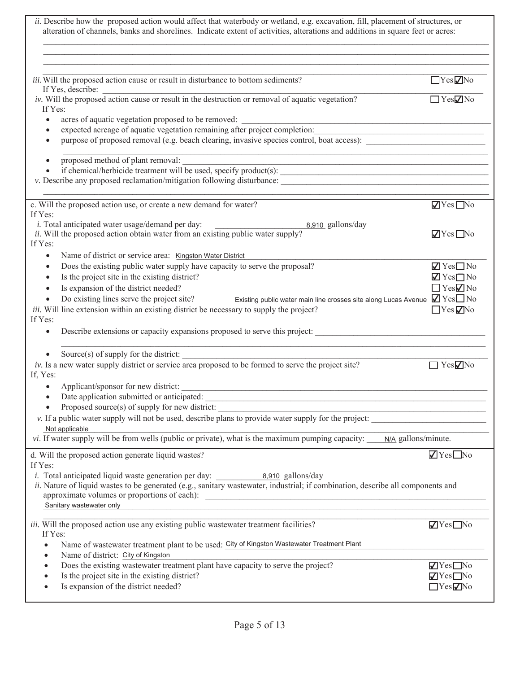| ii. Describe how the proposed action would affect that waterbody or wetland, e.g. excavation, fill, placement of structures, or<br>alteration of channels, banks and shorelines. Indicate extent of activities, alterations and additions in square feet or acres: |                                                      |
|--------------------------------------------------------------------------------------------------------------------------------------------------------------------------------------------------------------------------------------------------------------------|------------------------------------------------------|
| iii. Will the proposed action cause or result in disturbance to bottom sediments?<br>If Yes, describe:                                                                                                                                                             | $\Box$ Yes $\nabla$ No                               |
| iv. Will the proposed action cause or result in the destruction or removal of aquatic vegetation?                                                                                                                                                                  | $\Box$ Yes $\nabla$ No                               |
| If Yes:                                                                                                                                                                                                                                                            |                                                      |
| acres of aquatic vegetation proposed to be removed:<br>$\bullet$<br>expected acreage of aquatic vegetation remaining after project completion:<br>$\bullet$                                                                                                        |                                                      |
| purpose of proposed removal (e.g. beach clearing, invasive species control, boat access):<br>$\bullet$                                                                                                                                                             |                                                      |
|                                                                                                                                                                                                                                                                    |                                                      |
| proposed method of plant removal:<br>$\bullet$                                                                                                                                                                                                                     |                                                      |
| if chemical/herbicide treatment will be used, specify product(s):<br>$\bullet$                                                                                                                                                                                     |                                                      |
| v. Describe any proposed reclamation/mitigation following disturbance: Manuscription and a manuscription of the state of the state of the state of the state of the state of the state of the state of the state of the state                                      |                                                      |
| c. Will the proposed action use, or create a new demand for water?                                                                                                                                                                                                 | $\sqrt{Y}$ es $\Box$ No                              |
| If Yes:                                                                                                                                                                                                                                                            |                                                      |
| <i>i</i> . Total anticipated water usage/demand per day:<br>8,910 gallons/day                                                                                                                                                                                      |                                                      |
| ii. Will the proposed action obtain water from an existing public water supply?                                                                                                                                                                                    | $\sqrt{ }$ Yes $\Box$ No                             |
| If Yes:                                                                                                                                                                                                                                                            |                                                      |
| Name of district or service area: Kingston Water District<br>$\bullet$                                                                                                                                                                                             |                                                      |
| Does the existing public water supply have capacity to serve the proposal?<br>$\bullet$                                                                                                                                                                            | $\sqrt{Y}$ Yes $\Box$ No<br>$\sqrt{Y}$ Yes $\Box$ No |
| Is the project site in the existing district?<br>$\bullet$<br>Is expansion of the district needed?                                                                                                                                                                 | $\Box$ Yes $\Box$ No                                 |
| $\bullet$<br>Existing public water main line crosses site along Lucas Avenue $\Box$ Yes $\Box$ No<br>Do existing lines serve the project site?                                                                                                                     |                                                      |
| iii. Will line extension within an existing district be necessary to supply the project?                                                                                                                                                                           | $\Box$ Yes $\Box$ No                                 |
| If Yes:<br>Describe extensions or capacity expansions proposed to serve this project:                                                                                                                                                                              |                                                      |
| Source $(s)$ of supply for the district:                                                                                                                                                                                                                           |                                                      |
| $iv$ . Is a new water supply district or service area proposed to be formed to serve the project site?<br>If, Yes:                                                                                                                                                 | $\Box$ Yes $\nabla$ No                               |
| Applicant/sponsor for new district:<br>Date application submitted or anticipated:                                                                                                                                                                                  |                                                      |
|                                                                                                                                                                                                                                                                    |                                                      |
| Proposed source(s) of supply for new district:<br><u> 1989 - Johann Barbara, martin amerikan basa</u>                                                                                                                                                              |                                                      |
| v. If a public water supply will not be used, describe plans to provide water supply for the project:                                                                                                                                                              |                                                      |
| Not applicable<br>vi. If water supply will be from wells (public or private), what is the maximum pumping capacity:<br>N/A gallons/minute.                                                                                                                         |                                                      |
| d. Will the proposed action generate liquid wastes?                                                                                                                                                                                                                | $\blacksquare$ Yes $\blacksquare$ No                 |
| If Yes:                                                                                                                                                                                                                                                            |                                                      |
|                                                                                                                                                                                                                                                                    |                                                      |
| ii. Nature of liquid wastes to be generated (e.g., sanitary wastewater, industrial; if combination, describe all components and                                                                                                                                    |                                                      |
| Sanitary wastewater only<br><u> 1989 - Johann Stoff, deutscher Stoffen und der Stoffen und der Stoffen und der Stoffen und der Stoffen und der</u>                                                                                                                 |                                                      |
|                                                                                                                                                                                                                                                                    |                                                      |
| iii. Will the proposed action use any existing public wastewater treatment facilities?                                                                                                                                                                             | $\sqrt{Y}$ es $\Box$ No                              |
| If Yes:                                                                                                                                                                                                                                                            |                                                      |
| Name of wastewater treatment plant to be used: City of Kingston Wastewater Treatment Plant<br>Name of district: City of Kingston                                                                                                                                   |                                                      |
| Does the existing wastewater treatment plant have capacity to serve the project?                                                                                                                                                                                   | $\sqrt{Y}$ es $\Box$ No                              |
| Is the project site in the existing district?                                                                                                                                                                                                                      | $\blacksquare$ Yes $\blacksquare$ No                 |
| Is expansion of the district needed?                                                                                                                                                                                                                               | $\Box$ Yes $\negthinspace ZNo$                       |
|                                                                                                                                                                                                                                                                    |                                                      |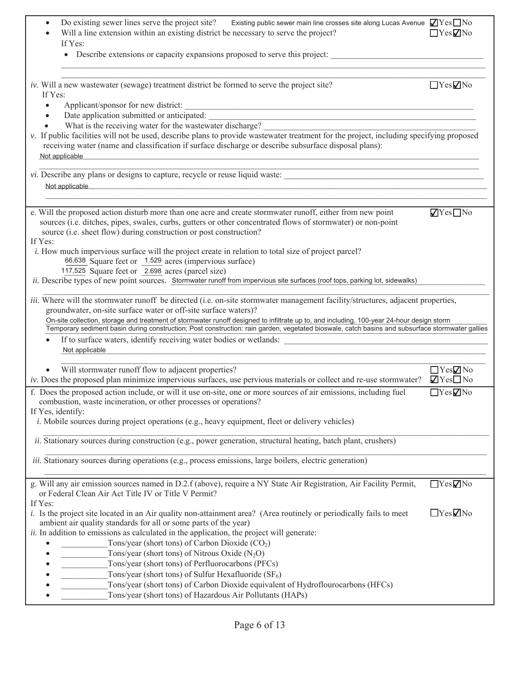| Do existing sewer lines serve the project site?<br>Existing public sewer main line crosses site along Lucas Avenue $\sqrt{Y}$ es $\Box$ No<br>$\bullet$<br>Will a line extension within an existing district be necessary to serve the project?<br>If Yes:<br>• Describe extensions or capacity expansions proposed to serve this project:                                                                                                                                                                                                                                                                                                                                | $\Box$ Yes $\nabla$ No                                       |
|---------------------------------------------------------------------------------------------------------------------------------------------------------------------------------------------------------------------------------------------------------------------------------------------------------------------------------------------------------------------------------------------------------------------------------------------------------------------------------------------------------------------------------------------------------------------------------------------------------------------------------------------------------------------------|--------------------------------------------------------------|
| iv. Will a new wastewater (sewage) treatment district be formed to serve the project site?<br>If Yes:<br>Applicant/sponsor for new district:<br>$\bullet$                                                                                                                                                                                                                                                                                                                                                                                                                                                                                                                 | $\Box$ Yes $\nabla$ No                                       |
| Date application submitted or anticipated:<br>$\bullet$<br>What is the receiving water for the wastewater discharge?<br>v. If public facilities will not be used, describe plans to provide wastewater treatment for the project, including specifying proposed<br>receiving water (name and classification if surface discharge or describe subsurface disposal plans):<br>Not applicable                                                                                                                                                                                                                                                                                |                                                              |
| vi. Describe any plans or designs to capture, recycle or reuse liquid waste:<br>Not applicable<br><u> 1989 - Johann Stoff, amerikan bestein de stad i stoff fan de ferstjer fan de ferstjer fan de ferstjer fan de</u>                                                                                                                                                                                                                                                                                                                                                                                                                                                    |                                                              |
| e. Will the proposed action disturb more than one acre and create stormwater runoff, either from new point<br>sources (i.e. ditches, pipes, swales, curbs, gutters or other concentrated flows of stormwater) or non-point<br>source (i.e. sheet flow) during construction or post construction?<br>If Yes:                                                                                                                                                                                                                                                                                                                                                               | $\sqrt{ }$ Yes $\Box$ No                                     |
| <i>i.</i> How much impervious surface will the project create in relation to total size of project parcel?<br>66,638 Square feet or 1.529 acres (impervious surface)<br>117,525 Square feet or 2.698 acres (parcel size)<br>ii. Describe types of new point sources. Stormwater runoff from impervious site surfaces (roof tops, parking lot, sidewalks)                                                                                                                                                                                                                                                                                                                  |                                                              |
| iii. Where will the stormwater runoff be directed (i.e. on-site stormwater management facility/structures, adjacent properties,<br>groundwater, on-site surface water or off-site surface waters)?<br>On-site collection, storage and treatment of stormwater runoff designed to infiltrate up to, and including, 100-year 24-hour design storm<br>Temporary sediment basin during construction; Post construction: rain garden, vegetated bioswale, catch basins and subsurface stormwater gallies                                                                                                                                                                       |                                                              |
| If to surface waters, identify receiving water bodies or wetlands:<br>Not applicable<br>the control of the control of the control of the control of the control of the control of                                                                                                                                                                                                                                                                                                                                                                                                                                                                                         |                                                              |
| Will stormwater runoff flow to adjacent properties?<br>iv. Does the proposed plan minimize impervious surfaces, use pervious materials or collect and re-use stormwater?                                                                                                                                                                                                                                                                                                                                                                                                                                                                                                  | $\Box$ Yes $\neg$ No<br>$\blacksquare$ Yes $\blacksquare$ No |
| f. Does the proposed action include, or will it use on-site, one or more sources of air emissions, including fuel<br>combustion, waste incineration, or other processes or operations?<br>If Yes, identify:<br><i>i.</i> Mobile sources during project operations (e.g., heavy equipment, fleet or delivery vehicles)                                                                                                                                                                                                                                                                                                                                                     | $\overline{\Box}$ Yes $\Box$ No                              |
| <i>ii.</i> Stationary sources during construction (e.g., power generation, structural heating, batch plant, crushers)                                                                                                                                                                                                                                                                                                                                                                                                                                                                                                                                                     |                                                              |
| <i>iii.</i> Stationary sources during operations (e.g., process emissions, large boilers, electric generation)                                                                                                                                                                                                                                                                                                                                                                                                                                                                                                                                                            |                                                              |
| g. Will any air emission sources named in D.2.f (above), require a NY State Air Registration, Air Facility Permit,<br>or Federal Clean Air Act Title IV or Title V Permit?<br>If Yes:                                                                                                                                                                                                                                                                                                                                                                                                                                                                                     | $\Box$ Yes $\Box$ No                                         |
| i. Is the project site located in an Air quality non-attainment area? (Area routinely or periodically fails to meet<br>ambient air quality standards for all or some parts of the year)<br>ii. In addition to emissions as calculated in the application, the project will generate:<br>Tons/year (short tons) of Carbon Dioxide $(CO2)$<br>$\bullet$<br>Tons/year (short tons) of Nitrous Oxide $(N_2O)$<br>Tons/year (short tons) of Perfluorocarbons (PFCs)<br>Tons/year (short tons) of Sulfur Hexafluoride $(SF_6)$<br>Tons/year (short tons) of Carbon Dioxide equivalent of Hydroflourocarbons (HFCs)<br>Tons/year (short tons) of Hazardous Air Pollutants (HAPs) | $\Box$ Yes $\nabla$ No                                       |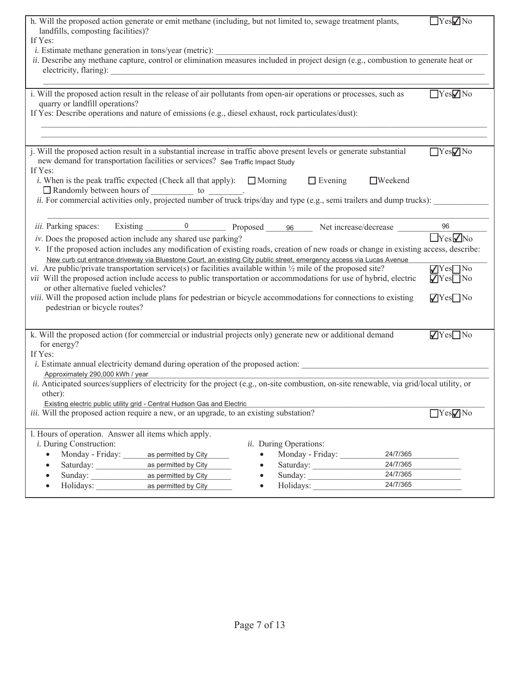| h. Will the proposed action generate or emit methane (including, but not limited to, sewage treatment plants,                                      | $\Box$ Yes $\neg$ No    |
|----------------------------------------------------------------------------------------------------------------------------------------------------|-------------------------|
| landfills, composting facilities)?                                                                                                                 |                         |
| If Yes:                                                                                                                                            |                         |
| <i>i</i> . Estimate methane generation in tons/year (metric):                                                                                      |                         |
| ii. Describe any methane capture, control or elimination measures included in project design (e.g., combustion to generate heat or                 |                         |
|                                                                                                                                                    |                         |
|                                                                                                                                                    |                         |
| i. Will the proposed action result in the release of air pollutants from open-air operations or processes, such as                                 | YesVNo                  |
| quarry or landfill operations?                                                                                                                     |                         |
| If Yes: Describe operations and nature of emissions (e.g., diesel exhaust, rock particulates/dust):                                                |                         |
|                                                                                                                                                    |                         |
|                                                                                                                                                    |                         |
| j. Will the proposed action result in a substantial increase in traffic above present levels or generate substantial                               | $\Box$ Yes $\nabla$ No  |
| new demand for transportation facilities or services? See Traffic Impact Study                                                                     |                         |
| If Yes:                                                                                                                                            |                         |
| <i>i</i> . When is the peak traffic expected (Check all that apply): $\Box$ Morning $\Box$ Evening<br>$\Box$ Weekend                               |                         |
|                                                                                                                                                    |                         |
|                                                                                                                                                    |                         |
|                                                                                                                                                    |                         |
| iii. Parking spaces:                                                                                                                               | 96                      |
| Existing 0 Proposed 96 Net increase/decrease ______                                                                                                |                         |
| iv. Does the proposed action include any shared use parking?                                                                                       | $\boxed{\text{Yes}}$ No |
| v. If the proposed action includes any modification of existing roads, creation of new roads or change in existing access, describe:               |                         |
| New curb cut entrance driveway via Bluestone Court, an existing City public street, emergency access via Lucas Avenue                              |                         |
| vi. Are public/private transportation service(s) or facilities available within $\frac{1}{2}$ mile of the proposed site?                           | $\sqrt{\text{Yes}}$ No  |
| vii Will the proposed action include access to public transportation or accommodations for use of hybrid, electric                                 | $\sqrt{\text{Yes}}$ No  |
| or other alternative fueled vehicles?                                                                                                              |                         |
| viii. Will the proposed action include plans for pedestrian or bicycle accommodations for connections to existing<br>pedestrian or bicycle routes? | $\sqrt{\text{Yes}}$ No  |
|                                                                                                                                                    |                         |
|                                                                                                                                                    |                         |
| k. Will the proposed action (for commercial or industrial projects only) generate new or additional demand                                         | $\sqrt{Y}$ es $\Box$ No |
| for energy?                                                                                                                                        |                         |
| If Yes:                                                                                                                                            |                         |
| <i>i.</i> Estimate annual electricity demand during operation of the proposed action:                                                              |                         |
| Approximately 290,000 kWh / year                                                                                                                   |                         |
| ii. Anticipated sources/suppliers of electricity for the project (e.g., on-site combustion, on-site renewable, via grid/local utility, or          |                         |
| other):                                                                                                                                            |                         |
| Existing electric public utility grid - Central Hudson Gas and Electric                                                                            |                         |
| <i>iii.</i> Will the proposed action require a new, or an upgrade, to an existing substation?                                                      | $\Box$ Yes $\neg$ No    |
|                                                                                                                                                    |                         |
| l. Hours of operation. Answer all items which apply.<br><i>i</i> . During Construction:                                                            |                         |
| ii. During Operations:<br>24/7/365                                                                                                                 |                         |
| Monday - Friday:<br>Monday - Friday:<br>as permitted by City<br>$\bullet$                                                                          |                         |
| Saturday:<br>as permitted by City<br>Saturday:<br>24/7/365<br>24/7/365                                                                             |                         |
| Sunday:<br>Sunday:<br>as permitted by City<br>24/7/365                                                                                             |                         |
| Holidays:<br>as permitted by City<br>Holidays:                                                                                                     |                         |
|                                                                                                                                                    |                         |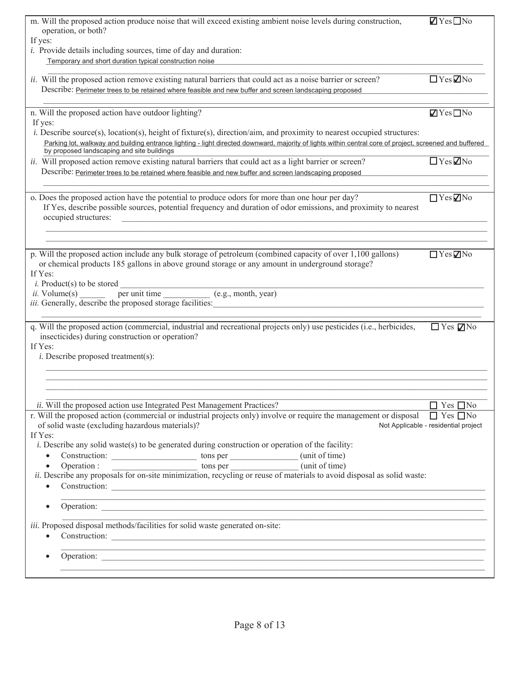| m. Will the proposed action produce noise that will exceed existing ambient noise levels during construction,<br>operation, or both?                    | $\blacksquare$ Yes $\square$ No      |
|---------------------------------------------------------------------------------------------------------------------------------------------------------|--------------------------------------|
| If yes:                                                                                                                                                 |                                      |
| <i>i</i> . Provide details including sources, time of day and duration:                                                                                 |                                      |
| Temporary and short duration typical construction noise                                                                                                 |                                      |
| ii. Will the proposed action remove existing natural barriers that could act as a noise barrier or screen?                                              | $\Box$ Yes $\Box$ No                 |
| Describe: Perimeter trees to be retained where feasible and new buffer and screen landscaping proposed                                                  |                                      |
|                                                                                                                                                         |                                      |
| n. Will the proposed action have outdoor lighting?<br>If yes:                                                                                           | $\blacksquare$ Yes $\blacksquare$ No |
| <i>i.</i> Describe source(s), location(s), height of fixture(s), direction/aim, and proximity to nearest occupied structures:                           |                                      |
| Parking lot, walkway and building entrance lighting - light directed downward, majority of lights within central core of project, screened and buffered |                                      |
| by proposed landscaping and site buildings<br>ii. Will proposed action remove existing natural barriers that could act as a light barrier or screen?    | $\Box$ Yes $\Box$ No                 |
| Describe: Perimeter trees to be retained where feasible and new buffer and screen landscaping proposed                                                  |                                      |
|                                                                                                                                                         |                                      |
| o. Does the proposed action have the potential to produce odors for more than one hour per day?                                                         | $\Box$ Yes $\Box$ No                 |
| If Yes, describe possible sources, potential frequency and duration of odor emissions, and proximity to nearest                                         |                                      |
| occupied structures:                                                                                                                                    |                                      |
|                                                                                                                                                         |                                      |
| p. Will the proposed action include any bulk storage of petroleum (combined capacity of over 1,100 gallons)                                             | $\Box$ Yes $\nabla$ No               |
| or chemical products 185 gallons in above ground storage or any amount in underground storage?                                                          |                                      |
| If Yes:                                                                                                                                                 |                                      |
| $i$ . Product(s) to be stored<br>per unit time (e.g., month, year)                                                                                      |                                      |
| <i>ii.</i> Volume(s)<br><i>iii.</i> Generally, describe the proposed storage facilities:                                                                |                                      |
|                                                                                                                                                         |                                      |
| q. Will the proposed action (commercial, industrial and recreational projects only) use pesticides (i.e., herbicides,                                   | $\Box$ Yes $\nabla$ No               |
| insecticides) during construction or operation?                                                                                                         |                                      |
| If Yes:<br>$i$ . Describe proposed treatment(s):                                                                                                        |                                      |
|                                                                                                                                                         |                                      |
|                                                                                                                                                         |                                      |
|                                                                                                                                                         |                                      |
| ii. Will the proposed action use Integrated Pest Management Practices?                                                                                  | $\Box$ Yes $\Box$ No                 |
| r. Will the proposed action (commercial or industrial projects only) involve or require the management or disposal                                      | $\Box$ Yes $\Box$ No                 |
| of solid waste (excluding hazardous materials)?<br>If Yes:                                                                                              | Not Applicable - residential project |
| <i>i.</i> Describe any solid waste(s) to be generated during construction or operation of the facility:                                                 |                                      |
| $\bullet$                                                                                                                                               |                                      |
| $\bullet$                                                                                                                                               |                                      |
| ii. Describe any proposals for on-site minimization, recycling or reuse of materials to avoid disposal as solid waste:<br>$\bullet$                     |                                      |
|                                                                                                                                                         |                                      |
| Operation:<br>$\bullet$                                                                                                                                 |                                      |
| iii. Proposed disposal methods/facilities for solid waste generated on-site:                                                                            |                                      |
| $\bullet$                                                                                                                                               |                                      |
|                                                                                                                                                         |                                      |
|                                                                                                                                                         |                                      |
|                                                                                                                                                         |                                      |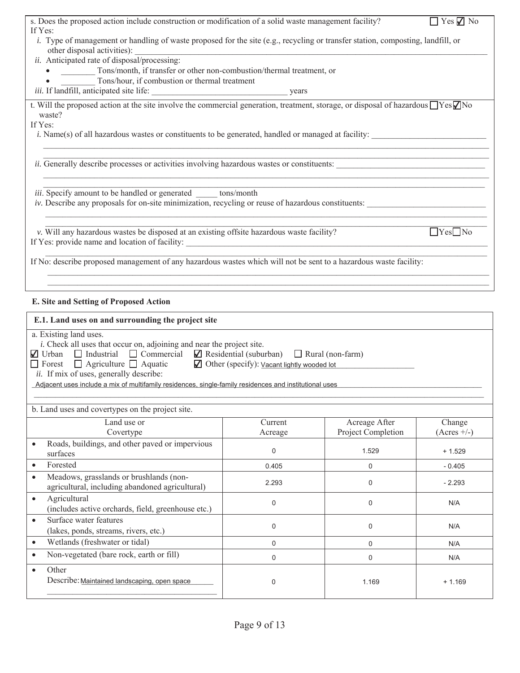| s. Does the proposed action include construction or modification of a solid waste management facility?                                       |                                                                                                                      |                    | $\Box$ Yes $\Box$ No |
|----------------------------------------------------------------------------------------------------------------------------------------------|----------------------------------------------------------------------------------------------------------------------|--------------------|----------------------|
| If Yes:<br>i. Type of management or handling of waste proposed for the site (e.g., recycling or transfer station, composting, landfill, or   |                                                                                                                      |                    |                      |
| other disposal activities):                                                                                                                  | <u> 1989 - Johann Stein, mars ar y breisinn ar ymgyriau ar y gynnys y gynnys y gynnys y gynnys y gynnys y gynnys</u> |                    |                      |
| ii. Anticipated rate of disposal/processing:                                                                                                 |                                                                                                                      |                    |                      |
| • Tons/month, if transfer or other non-combustion/thermal treatment, or                                                                      |                                                                                                                      |                    |                      |
| Tons/hour, if combustion or thermal treatment                                                                                                |                                                                                                                      |                    |                      |
|                                                                                                                                              |                                                                                                                      |                    |                      |
| t. Will the proposed action at the site involve the commercial generation, treatment, storage, or disposal of hazardous $\Box$ Yes $\neg$ No |                                                                                                                      |                    |                      |
| waste?<br>If Yes:                                                                                                                            |                                                                                                                      |                    |                      |
| <i>i.</i> Name(s) of all hazardous wastes or constituents to be generated, handled or managed at facility:                                   |                                                                                                                      |                    |                      |
|                                                                                                                                              |                                                                                                                      |                    |                      |
|                                                                                                                                              |                                                                                                                      |                    |                      |
| ii. Generally describe processes or activities involving hazardous wastes or constituents:                                                   |                                                                                                                      |                    |                      |
|                                                                                                                                              |                                                                                                                      |                    |                      |
| iii. Specify amount to be handled or generated ______ tons/month                                                                             |                                                                                                                      |                    |                      |
| iv. Describe any proposals for on-site minimization, recycling or reuse of hazardous constituents:                                           |                                                                                                                      |                    |                      |
|                                                                                                                                              |                                                                                                                      |                    |                      |
|                                                                                                                                              |                                                                                                                      |                    |                      |
| v. Will any hazardous wastes be disposed at an existing offsite hazardous waste facility?                                                    |                                                                                                                      |                    | $Yes$ No             |
|                                                                                                                                              |                                                                                                                      |                    |                      |
| If No: describe proposed management of any hazardous wastes which will not be sent to a hazardous waste facility:                            |                                                                                                                      |                    |                      |
|                                                                                                                                              |                                                                                                                      |                    |                      |
|                                                                                                                                              |                                                                                                                      |                    |                      |
| E. Site and Setting of Proposed Action                                                                                                       |                                                                                                                      |                    |                      |
|                                                                                                                                              |                                                                                                                      |                    |                      |
| E.1. Land uses on and surrounding the project site                                                                                           |                                                                                                                      |                    |                      |
| a. Existing land uses.                                                                                                                       |                                                                                                                      |                    |                      |
| <i>i</i> . Check all uses that occur on, adjoining and near the project site.                                                                |                                                                                                                      |                    |                      |
| $\Box$ Urban $\Box$ Industrial $\Box$ Commercial $\Box$ Residential (suburban) $\Box$ Rural (non-farm)                                       |                                                                                                                      |                    |                      |
| $\Box$ Forest $\Box$ Agriculture $\Box$ Aquatic<br>ii. If mix of uses, generally describe:                                                   | ■ Other (specify): Vacant lightly wooded lot                                                                         |                    |                      |
| Adjacent uses include a mix of multifamily residences, single-family residences and institutional uses                                       |                                                                                                                      |                    |                      |
|                                                                                                                                              |                                                                                                                      |                    |                      |
| b. Land uses and covertypes on the project site.                                                                                             |                                                                                                                      |                    |                      |
| Land use or                                                                                                                                  | Current                                                                                                              | Acreage After      | Change               |
| Covertype                                                                                                                                    | Acreage                                                                                                              | Project Completion | $(Acres +/-)$        |
| Roads, buildings, and other paved or impervious<br>$\bullet$                                                                                 |                                                                                                                      |                    |                      |
| surfaces                                                                                                                                     | 0                                                                                                                    | 1.529              | $+1.529$             |
| Forested<br>$\bullet$                                                                                                                        | 0.405                                                                                                                | 0                  | $-0.405$             |
| Meadows, grasslands or brushlands (non-<br>$\bullet$                                                                                         |                                                                                                                      |                    |                      |
| agricultural, including abandoned agricultural)                                                                                              | 2.293                                                                                                                | 0                  | $-2.293$             |
| Agricultural<br>$\bullet$                                                                                                                    | $\mathbf 0$                                                                                                          | 0                  | N/A                  |
| (includes active orchards, field, greenhouse etc.)                                                                                           |                                                                                                                      |                    |                      |
| Surface water features<br>$\bullet$                                                                                                          |                                                                                                                      |                    |                      |

Maintained landscaping, open space 0 1.169 + 1.169

0 N/A

0 N/A 0 N/A

(lakes, ponds, streams, rivers, etc.)

• Non-vegetated (bare rock, earth or fill)

Describe: Maintained landscaping, open space

• Wetlands (freshwater or tidal)

 $\bullet$  Other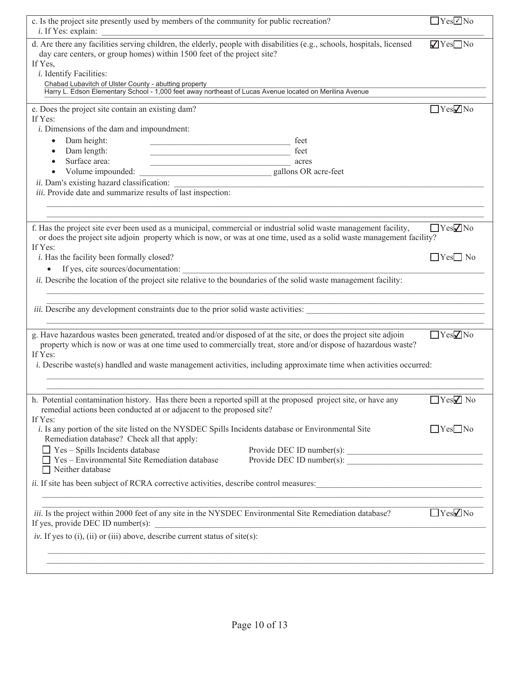| c. Is the project site presently used by members of the community for public recreation?<br><i>i</i> . If Yes: explain:                                                                                                                                                                                                                                                                       | $\Box$ Yes $\Box$ No    |
|-----------------------------------------------------------------------------------------------------------------------------------------------------------------------------------------------------------------------------------------------------------------------------------------------------------------------------------------------------------------------------------------------|-------------------------|
| d. Are there any facilities serving children, the elderly, people with disabilities (e.g., schools, hospitals, licensed<br>day care centers, or group homes) within 1500 feet of the project site?<br>If Yes,<br><i>i</i> . Identify Facilities:<br>Chabad Lubavitch of Ulster County - abutting property                                                                                     | $\sqrt{Y}$ es $\Box$ No |
| Harry L. Edson Elementary School - 1,000 feet away northeast of Lucas Avenue located on Merilina Avenue                                                                                                                                                                                                                                                                                       |                         |
| e. Does the project site contain an existing dam?<br>If Yes:<br><i>i</i> . Dimensions of the dam and impoundment:<br>Dam height:<br>feet<br>Dam length:<br>feet<br><u> 1990 - Johann Barbara, martin a</u><br>Surface area:<br>acres<br>Volume impounded:<br>gallons OR acre-feet<br>ii. Dam's existing hazard classification:<br>iii. Provide date and summarize results of last inspection: | $\Box$ Yes $\nabla$ No  |
|                                                                                                                                                                                                                                                                                                                                                                                               |                         |
| f. Has the project site ever been used as a municipal, commercial or industrial solid waste management facility,<br>or does the project site adjoin property which is now, or was at one time, used as a solid waste management facility?<br>If Yes:                                                                                                                                          | $\Box$ Yes $\nabla$ No  |
| <i>i</i> . Has the facility been formally closed?<br>If yes, cite sources/documentation:                                                                                                                                                                                                                                                                                                      | $\Box$ Yes $\Box$ No    |
| ii. Describe the location of the project site relative to the boundaries of the solid waste management facility:                                                                                                                                                                                                                                                                              |                         |
| iii. Describe any development constraints due to the prior solid waste activities:                                                                                                                                                                                                                                                                                                            |                         |
| g. Have hazardous wastes been generated, treated and/or disposed of at the site, or does the project site adjoin<br>property which is now or was at one time used to commercially treat, store and/or dispose of hazardous waste?<br>If Yes:<br><i>i.</i> Describe waste(s) handled and waste management activities, including approximate time when activities occurred:                     | $\Box$ Yes $\nabla$ No  |
|                                                                                                                                                                                                                                                                                                                                                                                               |                         |
|                                                                                                                                                                                                                                                                                                                                                                                               |                         |
| h. Potential contamination history. Has there been a reported spill at the proposed project site, or have any<br>remedial actions been conducted at or adjacent to the proposed site?                                                                                                                                                                                                         | $\Box$ Yes $\Box$ No    |
| If Yes:<br>i. Is any portion of the site listed on the NYSDEC Spills Incidents database or Environmental Site<br>Remediation database? Check all that apply:<br>$\Box$ Yes - Spills Incidents database<br>Provide DEC ID number(s):<br>$\Box$ Yes – Environmental Site Remediation database<br>Provide DEC ID number(s):                                                                      | $\Box$ Yes $\Box$ No    |
| □ Neither database                                                                                                                                                                                                                                                                                                                                                                            |                         |
| ii. If site has been subject of RCRA corrective activities, describe control measures:                                                                                                                                                                                                                                                                                                        |                         |
| iii. Is the project within 2000 feet of any site in the NYSDEC Environmental Site Remediation database?<br>If yes, provide DEC ID number(s):<br><u> 1989 - Johann Barn, fransk politik (f. 1989)</u>                                                                                                                                                                                          | $\Box$ Yes $\Box$ No    |
| iv. If yes to (i), (ii) or (iii) above, describe current status of site(s):                                                                                                                                                                                                                                                                                                                   |                         |
| ,我们也不能在这里的时候,我们也不能在这里的时候,我们也不能会在这里的时候,我们也不能会在这里的时候,我们也不能会在这里的时候,我们也不能会在这里的时候,我们也不                                                                                                                                                                                                                                                                                                             |                         |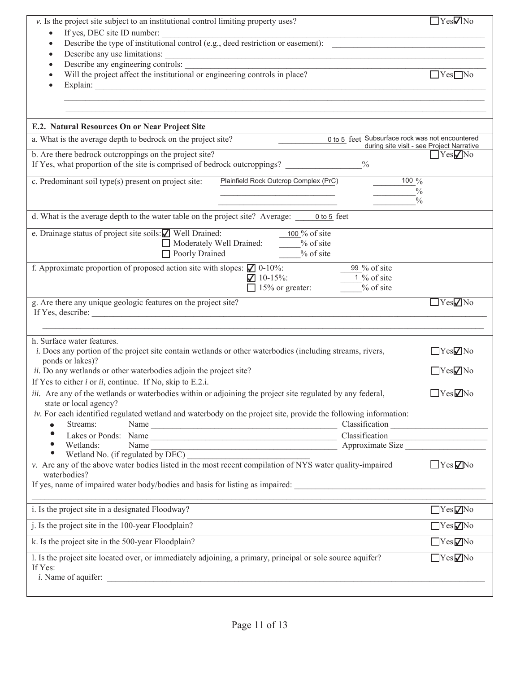| v. Is the project site subject to an institutional control limiting property uses?                                                                                           | $\Box$ Yes $\nabla$ No                    |
|------------------------------------------------------------------------------------------------------------------------------------------------------------------------------|-------------------------------------------|
| If yes, DEC site ID number:<br>$\bullet$<br>Describe the type of institutional control (e.g., deed restriction or easement):<br>$\bullet$                                    |                                           |
| $\bullet$                                                                                                                                                                    |                                           |
| $\bullet$                                                                                                                                                                    |                                           |
| Will the project affect the institutional or engineering controls in place?<br>$\bullet$<br>$\bullet$                                                                        | $Yes$ No                                  |
| Explain:                                                                                                                                                                     |                                           |
|                                                                                                                                                                              |                                           |
| E.2. Natural Resources On or Near Project Site                                                                                                                               |                                           |
| 0 to 5 feet Subsurface rock was not encountered<br>a. What is the average depth to bedrock on the project site?                                                              | during site visit - see Project Narrative |
| b. Are there bedrock outcroppings on the project site?                                                                                                                       | $\Box$ Yes $\nabla$ No                    |
| If Yes, what proportion of the site is comprised of bedrock outcroppings?<br>$\frac{0}{0}$                                                                                   |                                           |
| c. Predominant soil type(s) present on project site:<br>100 $\frac{9}{6}$<br>Plainfield Rock Outcrop Complex (PrC)                                                           |                                           |
| $\frac{0}{0}$<br>$\frac{0}{0}$                                                                                                                                               |                                           |
|                                                                                                                                                                              |                                           |
| d. What is the average depth to the water table on the project site? Average: 0 to 5 feet                                                                                    |                                           |
| e. Drainage status of project site soils: Vell Drained:<br>100 $\%$ of site<br>Moderately Well Drained:<br>$\frac{9}{6}$ of site                                             |                                           |
| $\frac{9}{6}$ of site<br>Poorly Drained                                                                                                                                      |                                           |
| f. Approximate proportion of proposed action site with slopes: $\Box$ 0-10%:<br>99 % of site                                                                                 |                                           |
| $10-15\%$ :<br>1 % of site                                                                                                                                                   |                                           |
| $\Box$ 15% or greater:<br>% of site                                                                                                                                          |                                           |
| g. Are there any unique geologic features on the project site?<br>If Yes, describe:                                                                                          | $\Box$ Yes $\nabla$ No                    |
|                                                                                                                                                                              |                                           |
| h. Surface water features.                                                                                                                                                   |                                           |
| <i>i.</i> Does any portion of the project site contain wetlands or other waterbodies (including streams, rivers,                                                             | $\Box$ Yes $\nabla$ No                    |
| ponds or lakes)?                                                                                                                                                             |                                           |
| ii. Do any wetlands or other waterbodies adjoin the project site?                                                                                                            | YesZNo                                    |
| If Yes to either $i$ or $ii$ , continue. If No, skip to E.2.i.<br>iii. Are any of the wetlands or waterbodies within or adjoining the project site regulated by any federal, | $\Box$ Yes $\nabla$ No                    |
| state or local agency?                                                                                                                                                       |                                           |
| iv. For each identified regulated wetland and waterbody on the project site, provide the following information:<br>Streams:<br>$\bullet$                                     |                                           |
| $\bullet$<br>Lakes or Ponds: Name<br>Wetlands: Name<br>Wetlands: Name<br>The Theory of The Classification<br>Approximate Size                                                |                                           |
| Wetlands:<br>$\bullet$<br>$\bullet$                                                                                                                                          |                                           |
| v. Are any of the above water bodies listed in the most recent compilation of NYS water quality-impaired                                                                     | $\Box$ Yes $\nabla$ No                    |
| waterbodies?                                                                                                                                                                 |                                           |
| If yes, name of impaired water body/bodies and basis for listing as impaired:                                                                                                |                                           |
| i. Is the project site in a designated Floodway?                                                                                                                             | YesVNo                                    |
| j. Is the project site in the 100-year Floodplain?                                                                                                                           | $YesV$ No                                 |
| k. Is the project site in the 500-year Floodplain?                                                                                                                           | $\Box$ Yes $\nabla$ No                    |
| 1. Is the project site located over, or immediately adjoining, a primary, principal or sole source aquifer?                                                                  | $\Box$ Yes $\nabla$ No                    |
| If Yes:                                                                                                                                                                      |                                           |
| i. Name of aquifer:                                                                                                                                                          |                                           |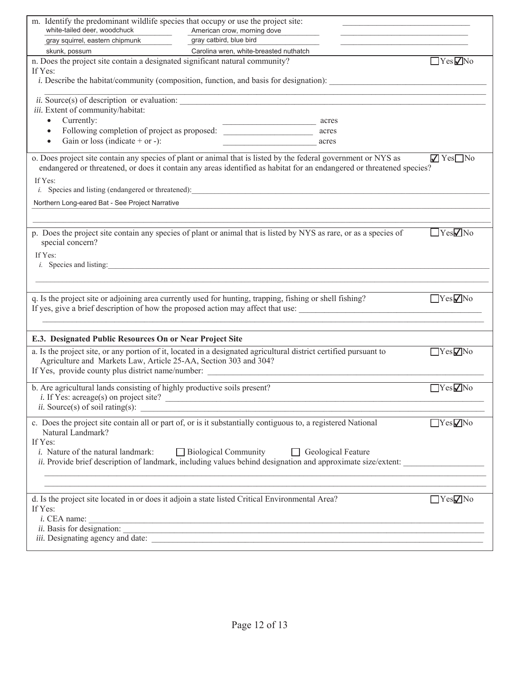| m. Identify the predominant wildlife species that occupy or use the project site:<br>white-tailed deer, woodchuck                                                                                                                                                                             |                                                        |                                                                                                                                                                                                                                                                                     |                          |
|-----------------------------------------------------------------------------------------------------------------------------------------------------------------------------------------------------------------------------------------------------------------------------------------------|--------------------------------------------------------|-------------------------------------------------------------------------------------------------------------------------------------------------------------------------------------------------------------------------------------------------------------------------------------|--------------------------|
| gray squirrel, eastern chipmunk                                                                                                                                                                                                                                                               | American crow, morning dove<br>gray catbird, blue bird |                                                                                                                                                                                                                                                                                     |                          |
| skunk, possum                                                                                                                                                                                                                                                                                 | Carolina wren, white-breasted nuthatch                 |                                                                                                                                                                                                                                                                                     |                          |
| n. Does the project site contain a designated significant natural community?<br>If Yes:                                                                                                                                                                                                       |                                                        | <i>i.</i> Describe the habitat/community (composition, function, and basis for designation):                                                                                                                                                                                        | $\Box$ Yes $\nabla$ No   |
| $ii. Source(s)$ of description or evaluation:<br>iii. Extent of community/habitat:<br>Currently:<br>$\bullet$<br>Following completion of project as proposed:<br>$\bullet$<br>Gain or loss (indicate $+$ or $-$ ):<br>$\bullet$<br>If Yes:<br>Northern Long-eared Bat - See Project Narrative |                                                        | acres<br>acres<br>acres<br>o. Does project site contain any species of plant or animal that is listed by the federal government or NYS as<br>endangered or threatened, or does it contain any areas identified as habitat for an endangered or threatened species?                  | $\sqrt{Y}$ Yes $\Box$ No |
| special concern?<br>If Yes:<br><i>i</i> . Species and listing:                                                                                                                                                                                                                                |                                                        | p. Does the project site contain any species of plant or animal that is listed by NYS as rare, or as a species of                                                                                                                                                                   | $\Box$ Yes $\nabla$ No   |
| q. Is the project site or adjoining area currently used for hunting, trapping, fishing or shell fishing?                                                                                                                                                                                      |                                                        |                                                                                                                                                                                                                                                                                     | YesVNo                   |
| E.3. Designated Public Resources On or Near Project Site                                                                                                                                                                                                                                      |                                                        |                                                                                                                                                                                                                                                                                     |                          |
| a. Is the project site, or any portion of it, located in a designated agricultural district certified pursuant to<br>Agriculture and Markets Law, Article 25-AA, Section 303 and 304?                                                                                                         |                                                        | If Yes, provide county plus district name/number:                                                                                                                                                                                                                                   | YesVNo                   |
| b. Are agricultural lands consisting of highly productive soils present?<br><i>ii.</i> Source(s) of soil rating(s): $\qquad \qquad$                                                                                                                                                           |                                                        |                                                                                                                                                                                                                                                                                     | $\Box$ Yes $\nabla$ No   |
| c. Does the project site contain all or part of, or is it substantially contiguous to, a registered National<br>Natural Landmark?<br>If Yes:<br><i>i</i> . Nature of the natural landmark:                                                                                                    |                                                        | □ Biological Community □ Geological Feature<br>ii. Provide brief description of landmark, including values behind designation and approximate size/extent:<br><u> 1989 - Johann Stoff, amerikan bestein besteht aus dem Berlingen aus dem Berlingen aus dem Berlingen aus dem B</u> | YesVNo                   |
| d. Is the project site located in or does it adjoin a state listed Critical Environmental Area?<br>If Yes:                                                                                                                                                                                    |                                                        | $i.$ CEA name: $\frac{1}{i}$ CEA name:                                                                                                                                                                                                                                              | YesVNo                   |
|                                                                                                                                                                                                                                                                                               |                                                        |                                                                                                                                                                                                                                                                                     |                          |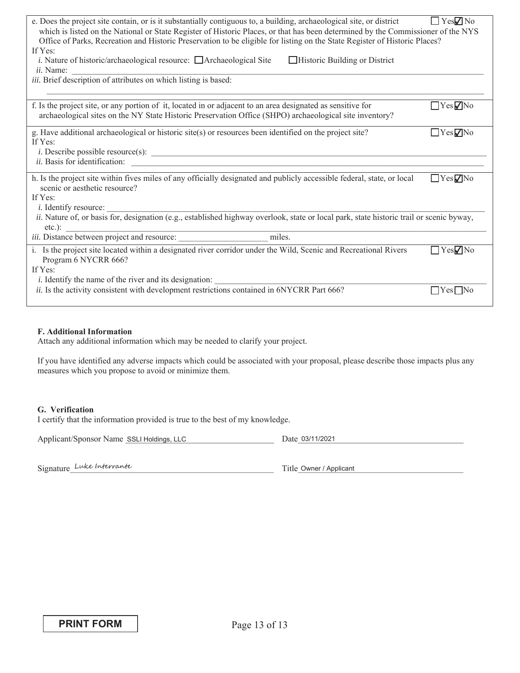| e. Does the project site contain, or is it substantially contiguous to, a building, archaeological site, or district<br>which is listed on the National or State Register of Historic Places, or that has been determined by the Commissioner of the NYS<br>Office of Parks, Recreation and Historic Preservation to be eligible for listing on the State Register of Historic Places?<br>If Yes:<br><i>i</i> . Nature of historic/archaeological resource: $\Box$ Archaeological Site<br>$\Box$ Historic Building or District<br><i>ii</i> . Name:<br>iii. Brief description of attributes on which listing is based: | $\Box$ Yes $\Box$ No                           |
|------------------------------------------------------------------------------------------------------------------------------------------------------------------------------------------------------------------------------------------------------------------------------------------------------------------------------------------------------------------------------------------------------------------------------------------------------------------------------------------------------------------------------------------------------------------------------------------------------------------------|------------------------------------------------|
| f. Is the project site, or any portion of it, located in or adjacent to an area designated as sensitive for<br>archaeological sites on the NY State Historic Preservation Office (SHPO) archaeological site inventory?                                                                                                                                                                                                                                                                                                                                                                                                 | $\Box$ Yes $\negthinspace ZNo$                 |
| g. Have additional archaeological or historic site(s) or resources been identified on the project site?<br>If Yes:<br>ii. Basis for identification:                                                                                                                                                                                                                                                                                                                                                                                                                                                                    | $\Box$ Yes $\nabla$ No                         |
| h. Is the project site within fives miles of any officially designated and publicly accessible federal, state, or local<br>scenic or aesthetic resource?<br>If Yes:<br><i>i</i> . Identify resource:<br>ii. Nature of, or basis for, designation (e.g., established highway overlook, state or local park, state historic trail or scenic byway,<br>$etc.$ ):                                                                                                                                                                                                                                                          | $\Box$ Yes $\nabla$ No                         |
| miles.                                                                                                                                                                                                                                                                                                                                                                                                                                                                                                                                                                                                                 |                                                |
| i. Is the project site located within a designated river corridor under the Wild, Scenic and Recreational Rivers<br>Program 6 NYCRR 666?<br>If Yes:<br><i>i</i> . Identify the name of the river and its designation:<br>ii. Is the activity consistent with development restrictions contained in 6NYCRR Part 666?                                                                                                                                                                                                                                                                                                    | $\Box$ Yes $\nabla$ No<br>$\Box$ Yes $\Box$ No |
|                                                                                                                                                                                                                                                                                                                                                                                                                                                                                                                                                                                                                        |                                                |

### **F. Additional Information**

Attach any additional information which may be needed to clarify your project.

If you have identified any adverse impacts which could be associated with your proposal, please describe those impacts plus any measures which you propose to avoid or minimize them.

### **G. Verification**

I certify that the information provided is true to the best of my knowledge.

| Applicant/Sponsor Name SSLI Holdings, LLC | Date 03/11/2021 |
|-------------------------------------------|-----------------|
|                                           |                 |

Signature Luke Interrante

Title Owner / Applicant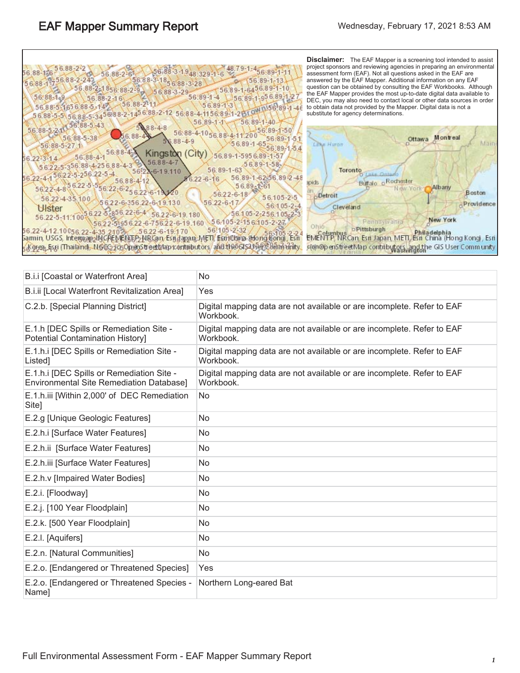| 56.88-3-1.948.329-1-6<br>56.89-1-1<br>56.88-126<br>56.88-2-61<br>$56.88 - 3 - 1$<br>$56.89 - 1 - 13$<br>$85688 - 3 - 28$<br>$56.88 - 1.7$<br>56.88-2-1856.88-2-9<br>56.89-1-6456.89-1-10<br>$56.88 - 3 - 29$<br>$56:89 - 1 - 4$<br>$56:88-149$<br>56.89-1-956.89-1-2<br>$56.88 - 2 - 16$<br>$56.88 - 211$<br>5689-1-3<br>56.88-5-1656.88-5-149<br>$n!56!89-1-4$<br>56.88-5-5 56.88-5-3456.88-2-1456.88-2-12 56.88-4-11<br>$56.89 - 1 - 40$<br>$56.89 - 1 - 1$<br>56.88-5-43                                                           | <b>Disclaimer:</b> The EAF Mapper is a screening tool intended to assist<br>project sponsors and reviewing agencies in preparing an environmental<br>assessment form (EAF). Not all questions asked in the EAF are<br>answered by the EAF Mapper. Additional information on any EAF<br>question can be obtained by consulting the EAF Workbooks. Although<br>the EAF Mapper provides the most up-to-date digital data available to<br>DEC, you may also need to contact local or other data sources in order<br>to obtain data not provided by the Mapper. Digital data is not a<br>substitute for agency determinations. |
|---------------------------------------------------------------------------------------------------------------------------------------------------------------------------------------------------------------------------------------------------------------------------------------------------------------------------------------------------------------------------------------------------------------------------------------------------------------------------------------------------------------------------------------|---------------------------------------------------------------------------------------------------------------------------------------------------------------------------------------------------------------------------------------------------------------------------------------------------------------------------------------------------------------------------------------------------------------------------------------------------------------------------------------------------------------------------------------------------------------------------------------------------------------------------|
| $588 - 4 - 8$<br>56,88-5-21<br>56:88-4-1056.88-4-11.20<br>56<br>56, 88-5-38<br>$56.88 - 4 - 9$<br>$56.89 - 165$<br>$56.88 - 5 - 27.1$<br>56.89-1-54<br>$56.88 - 4.$<br>City)<br>Kingston<br>9-1-5956-89-1-51<br>$56.88 - 4 - 1$<br>56.22-3-14<br>$5688 - 4$<br>$56.89 - 1 - 58$<br>5622-5-356.88-4-256.88-4<br>56.89-1-63<br>5692-6-19.110                                                                                                                                                                                            | Montreal<br>Ottawa<br>Mäin<br>Lake Huron<br>Toronto                                                                                                                                                                                                                                                                                                                                                                                                                                                                                                                                                                       |
| 56.22-4-156.22-5-256.22-5-4<br>$-62.56.89 - 2 - 48$<br>$6.22 - 6 - 16$<br>56.88-4-12<br>56.22-4-8 6.22-5-5<br>$56.89 - 1 - 61$<br>56.22-6-256.22-6-1<br>$56.22 - 6 - 18$<br>56.105-2-5<br>56.22-4-35.100<br>$56.22 - 6 - 17$<br>56.22-6-356.22-6-19.130<br>56 105-2-4<br>Ulster<br>56.22-5-856.22-6-4<br>$56.105 - 2256.105 - 23$<br>56.22-6-19.180<br>56.22-5-11.100<br>56.105-2-156.105-2-27.<br>56 22-5-95 6 22 -6-75 6 22 - 6-19 160<br>56!105-2-32<br>56.22-4-12.10056.22-4-35.21026<br>$56.22 - 6 - 19.170$<br>$56305 - 2 - 24$ | Bullalo o Rochester<br>spects<br>Albany<br>New York<br>Boston<br>Detroit<br>rovidence<br>Cleveland<br>New York<br>Pannsylvania<br>o Pittsburgh<br>Philadelphia<br>Columbus                                                                                                                                                                                                                                                                                                                                                                                                                                                |

Samin, USGS, Intermap INCREMENTP NBCan, Esi Japan, METI, Egi China-Hongkong, Esn EMENTP, NRCan, Esn Japan, METI, Esn China (Hong Kong), Esn<br>5 K9rea, Esti (Thailand), NGC 2105OpenStreetNap Kontributors, and the GIS45ER 8mm

| B.i.i [Coastal or Waterfront Area]                                                           | No                                                                                  |
|----------------------------------------------------------------------------------------------|-------------------------------------------------------------------------------------|
| B.i.ii [Local Waterfront Revitalization Area]                                                | Yes                                                                                 |
| C.2.b. [Special Planning District]                                                           | Digital mapping data are not available or are incomplete. Refer to EAF<br>Workbook. |
| E.1.h [DEC Spills or Remediation Site -<br>Potential Contamination History]                  | Digital mapping data are not available or are incomplete. Refer to EAF<br>Workbook. |
| E.1.h.i [DEC Spills or Remediation Site -<br>Listed]                                         | Digital mapping data are not available or are incomplete. Refer to EAF<br>Workbook. |
| E.1.h.i [DEC Spills or Remediation Site -<br><b>Environmental Site Remediation Databasel</b> | Digital mapping data are not available or are incomplete. Refer to EAF<br>Workbook. |
| E.1.h.iii [Within 2,000' of DEC Remediation<br>Site]                                         | <b>No</b>                                                                           |
| E.2.g [Unique Geologic Features]                                                             | <b>No</b>                                                                           |
| E.2.h.i [Surface Water Features]                                                             | No                                                                                  |
| E.2.h.ii [Surface Water Features]                                                            | No                                                                                  |
| E.2.h.iii [Surface Water Features]                                                           | <b>No</b>                                                                           |
| E.2.h.v [Impaired Water Bodies]                                                              | No                                                                                  |
| E.2.i. [Floodway]                                                                            | No                                                                                  |
| E.2.j. [100 Year Floodplain]                                                                 | <b>No</b>                                                                           |
| E.2.k. [500 Year Floodplain]                                                                 | No                                                                                  |
| E.2.I. [Aquifers]                                                                            | No.                                                                                 |
| E.2.n. [Natural Communities]                                                                 | <b>No</b>                                                                           |
| E.2.o. [Endangered or Threatened Species]                                                    | Yes                                                                                 |
| E.2.o. [Endangered or Threatened Species -<br>Name]                                          | Northern Long-eared Bat                                                             |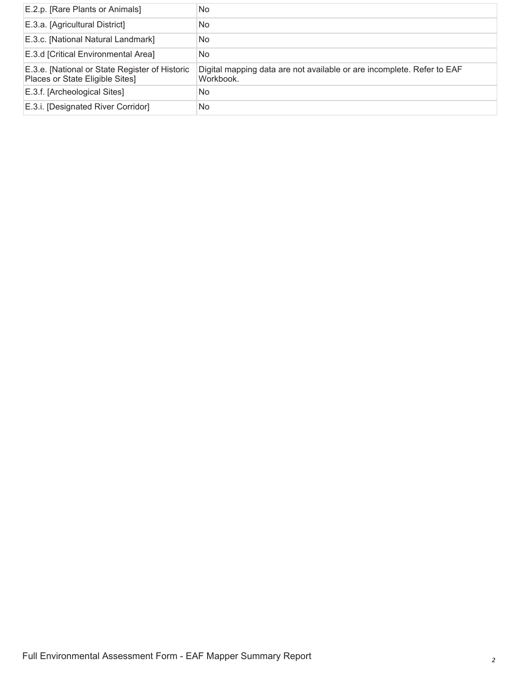| E.2.p. [Rare Plants or Animals]                                                   | No.                                                                                 |
|-----------------------------------------------------------------------------------|-------------------------------------------------------------------------------------|
| E.3.a. [Agricultural District]                                                    | No.                                                                                 |
| E.3.c. [National Natural Landmark]                                                | No.                                                                                 |
| E.3.d [Critical Environmental Area]                                               | No                                                                                  |
| E.3.e. [National or State Register of Historic<br>Places or State Eligible Sites] | Digital mapping data are not available or are incomplete. Refer to EAF<br>Workbook. |
| E.3.f. [Archeological Sites]                                                      | No.                                                                                 |
| E.3.i. [Designated River Corridor]                                                | No                                                                                  |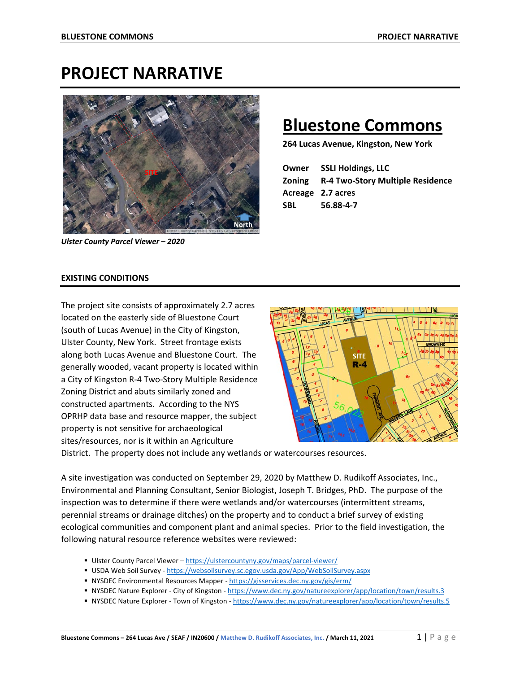# **PROJECT NARRATIVE**



*Ulster County Parcel Viewer – 2020*

# **Bluestone Commons**

**264 Lucas Avenue, Kingston, New York**

|            | <b>Owner</b> SSLI Holdings, LLC                |
|------------|------------------------------------------------|
|            | <b>Zoning R-4 Two-Story Multiple Residence</b> |
|            | Acreage 2.7 acres                              |
| <b>SBL</b> | 56.88-4-7                                      |

### **EXISTING CONDITIONS**

The project site consists of approximately 2.7 acres located on the easterly side of Bluestone Court (south of Lucas Avenue) in the City of Kingston, Ulster County, New York. Street frontage exists along both Lucas Avenue and Bluestone Court. The generally wooded, vacant property is located within a City of Kingston R-4 Two-Story Multiple Residence Zoning District and abuts similarly zoned and constructed apartments. According to the NYS OPRHP data base and resource mapper, the subject property is not sensitive for archaeological sites/resources, nor is it within an Agriculture



District. The property does not include any wetlands or watercourses resources.

A site investigation was conducted on September 29, 2020 by Matthew D. Rudikoff Associates, Inc., Environmental and Planning Consultant, Senior Biologist, Joseph T. Bridges, PhD. The purpose of the inspection was to determine if there were wetlands and/or watercourses (intermittent streams, perennial streams or drainage ditches) on the property and to conduct a brief survey of existing ecological communities and component plant and animal species. Prior to the field investigation, the following natural resource reference websites were reviewed:

- Ulster County Parcel Viewer <https://ulstercountyny.gov/maps/parcel-viewer/>
- USDA Web Soil Survey <https://websoilsurvey.sc.egov.usda.gov/App/WebSoilSurvey.aspx>
- NYSDEC Environmental Resources Mapper <https://gisservices.dec.ny.gov/gis/erm/>
- NYSDEC Nature Explorer City of Kingston <https://www.dec.ny.gov/natureexplorer/app/location/town/results.3>
- NYSDEC Nature Explorer Town of Kingston <https://www.dec.ny.gov/natureexplorer/app/location/town/results.5>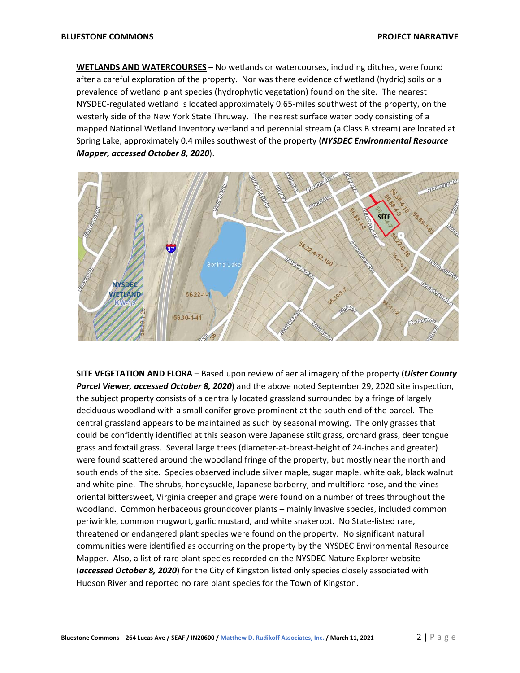**WETLANDS AND WATERCOURSES** – No wetlands or watercourses, including ditches, were found after a careful exploration of the property. Nor was there evidence of wetland (hydric) soils or a prevalence of wetland plant species (hydrophytic vegetation) found on the site.The nearest NYSDEC-regulated wetland is located approximately 0.65-miles southwest of the property, on the westerly side of the New York State Thruway. The nearest surface water body consisting of a mapped National Wetland Inventory wetland and perennial stream (a Class B stream) are located at Spring Lake, approximately 0.4 miles southwest of the property (*NYSDEC Environmental Resource Mapper, accessed October 8, 2020*).



**SITE VEGETATION AND FLORA** – Based upon review of aerial imagery of the property (*Ulster County Parcel Viewer, accessed October 8, 2020*) and the above noted September 29, 2020 site inspection, the subject property consists of a centrally located grassland surrounded by a fringe of largely deciduous woodland with a small conifer grove prominent at the south end of the parcel. The central grassland appears to be maintained as such by seasonal mowing. The only grasses that could be confidently identified at this season were Japanese stilt grass, orchard grass, deer tongue grass and foxtail grass. Several large trees (diameter-at-breast-height of 24-inches and greater) were found scattered around the woodland fringe of the property, but mostly near the north and south ends of the site. Species observed include silver maple, sugar maple, white oak, black walnut and white pine. The shrubs, honeysuckle, Japanese barberry, and multiflora rose, and the vines oriental bittersweet, Virginia creeper and grape were found on a number of trees throughout the woodland. Common herbaceous groundcover plants – mainly invasive species, included common periwinkle, common mugwort, garlic mustard, and white snakeroot. No State-listed rare, threatened or endangered plant species were found on the property. No significant natural communities were identified as occurring on the property by the NYSDEC Environmental Resource Mapper. Also, a list of rare plant species recorded on the NYSDEC Nature Explorer website (*accessed October 8, 2020*) for the City of Kingston listed only species closely associated with Hudson River and reported no rare plant species for the Town of Kingston.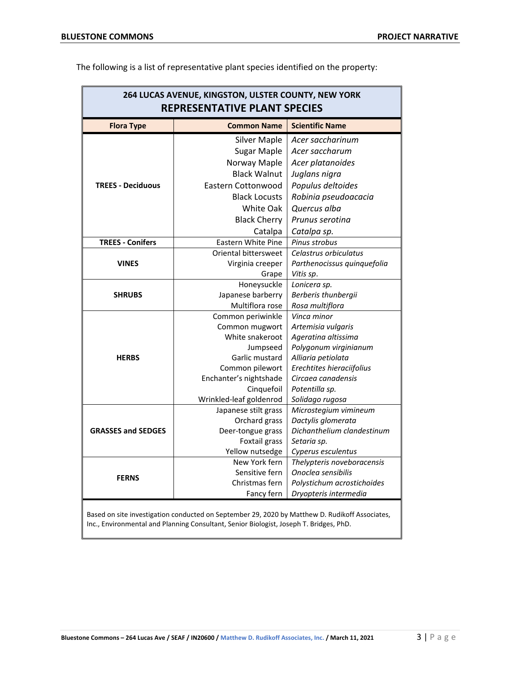| The following is a list of representative plant species identified on the property: |
|-------------------------------------------------------------------------------------|
|-------------------------------------------------------------------------------------|

| 264 LUCAS AVENUE, KINGSTON, ULSTER COUNTY, NEW YORK<br><b>REPRESENTATIVE PLANT SPECIES</b> |                                       |                                   |
|--------------------------------------------------------------------------------------------|---------------------------------------|-----------------------------------|
| <b>Flora Type</b>                                                                          | <b>Common Name</b>                    | <b>Scientific Name</b>            |
|                                                                                            | <b>Silver Maple</b>                   | Acer saccharinum                  |
|                                                                                            | <b>Sugar Maple</b>                    | Acer saccharum                    |
|                                                                                            | Norway Maple                          | Acer platanoides                  |
|                                                                                            | <b>Black Walnut</b>                   | Juglans nigra                     |
| <b>TREES - Deciduous</b>                                                                   | Eastern Cottonwood                    | Populus deltoides                 |
|                                                                                            | <b>Black Locusts</b>                  | Robinia pseudoacacia              |
|                                                                                            | White Oak                             | Quercus alba                      |
|                                                                                            | <b>Black Cherry</b>                   | Prunus serotina                   |
|                                                                                            | Catalpa                               | Catalpa sp.                       |
| <b>TREES - Conifers</b>                                                                    | <b>Eastern White Pine</b>             | Pinus strobus                     |
|                                                                                            | Oriental bittersweet                  | Celastrus orbiculatus             |
| <b>VINES</b>                                                                               | Virginia creeper                      | Parthenocissus quinquefolia       |
|                                                                                            | Grape                                 | Vitis sp.                         |
|                                                                                            | Honeysuckle                           | Lonicera sp.                      |
| <b>SHRUBS</b>                                                                              | Japanese barberry                     | Berberis thunbergii               |
|                                                                                            | Multiflora rose                       | Rosa multiflora                   |
|                                                                                            | Common periwinkle                     | Vinca minor                       |
|                                                                                            | Common mugwort                        | Artemisia vulgaris                |
|                                                                                            | White snakeroot                       | Ageratina altissima               |
|                                                                                            | Jumpseed                              | Polygonum virginianum             |
| <b>HERBS</b>                                                                               | Garlic mustard                        | Alliaria petiolata                |
|                                                                                            | Common pilewort                       | Erechtites hieraciifolius         |
|                                                                                            | Enchanter's nightshade                | Circaea canadensis                |
|                                                                                            | Cinquefoil<br>Wrinkled-leaf goldenrod | Potentilla sp.<br>Solidago rugosa |
|                                                                                            | Japanese stilt grass                  | Microstegium vimineum             |
|                                                                                            | Orchard grass                         | Dactylis glomerata                |
| <b>GRASSES and SEDGES</b>                                                                  | Deer-tongue grass                     | Dichanthelium clandestinum        |
|                                                                                            | Foxtail grass                         | Setaria sp.                       |
|                                                                                            | Yellow nutsedge                       | Cyperus esculentus                |
|                                                                                            | New York fern                         | Thelypteris noveboracensis        |
|                                                                                            | Sensitive fern                        | Onoclea sensibilis                |
| <b>FERNS</b>                                                                               | Christmas fern                        | Polystichum acrostichoides        |
|                                                                                            | Fancy fern                            | Dryopteris intermedia             |
|                                                                                            |                                       |                                   |

Based on site investigation conducted on September 29, 2020 by Matthew D. Rudikoff Associates, Inc., Environmental and Planning Consultant, Senior Biologist, Joseph T. Bridges, PhD.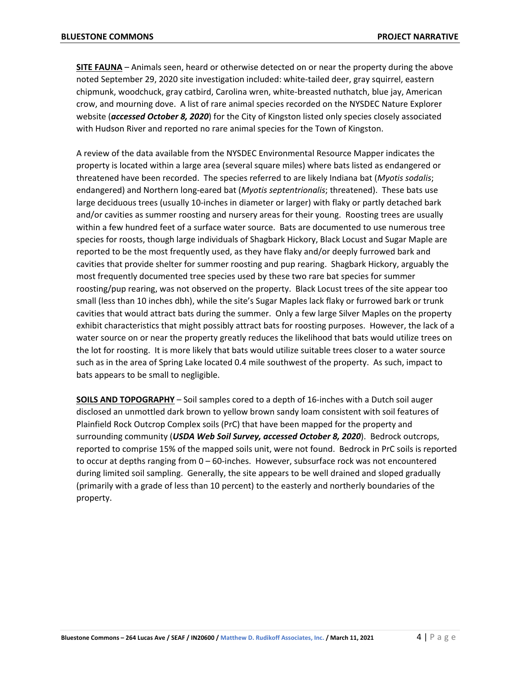**SITE FAUNA** – Animals seen, heard or otherwise detected on or near the property during the above noted September 29, 2020 site investigation included: white-tailed deer, gray squirrel, eastern chipmunk, woodchuck, gray catbird, Carolina wren, white-breasted nuthatch, blue jay, American crow, and mourning dove. A list of rare animal species recorded on the NYSDEC Nature Explorer website (*accessed October 8, 2020*) for the City of Kingston listed only species closely associated with Hudson River and reported no rare animal species for the Town of Kingston.

A review of the data available from the NYSDEC Environmental Resource Mapper indicates the property is located within a large area (several square miles) where bats listed as endangered or threatened have been recorded. The species referred to are likely Indiana bat (*Myotis sodalis*; endangered) and Northern long-eared bat (*Myotis septentrionalis*; threatened). These bats use large deciduous trees (usually 10-inches in diameter or larger) with flaky or partly detached bark and/or cavities as summer roosting and nursery areas for their young. Roosting trees are usually within a few hundred feet of a surface water source. Bats are documented to use numerous tree species for roosts, though large individuals of Shagbark Hickory, Black Locust and Sugar Maple are reported to be the most frequently used, as they have flaky and/or deeply furrowed bark and cavities that provide shelter for summer roosting and pup rearing. Shagbark Hickory, arguably the most frequently documented tree species used by these two rare bat species for summer roosting/pup rearing, was not observed on the property. Black Locust trees of the site appear too small (less than 10 inches dbh), while the site's Sugar Maples lack flaky or furrowed bark or trunk cavities that would attract bats during the summer. Only a few large Silver Maples on the property exhibit characteristics that might possibly attract bats for roosting purposes. However, the lack of a water source on or near the property greatly reduces the likelihood that bats would utilize trees on the lot for roosting. It is more likely that bats would utilize suitable trees closer to a water source such as in the area of Spring Lake located 0.4 mile southwest of the property. As such, impact to bats appears to be small to negligible.

**SOILS AND TOPOGRAPHY** – Soil samples cored to a depth of 16-inches with a Dutch soil auger disclosed an unmottled dark brown to yellow brown sandy loam consistent with soil features of Plainfield Rock Outcrop Complex soils (PrC) that have been mapped for the property and surrounding community (*USDA Web Soil Survey, accessed October 8, 2020*). Bedrock outcrops, reported to comprise 15% of the mapped soils unit, were not found. Bedrock in PrC soils is reported to occur at depths ranging from 0 – 60-inches. However, subsurface rock was not encountered during limited soil sampling. Generally, the site appears to be well drained and sloped gradually (primarily with a grade of less than 10 percent) to the easterly and northerly boundaries of the property.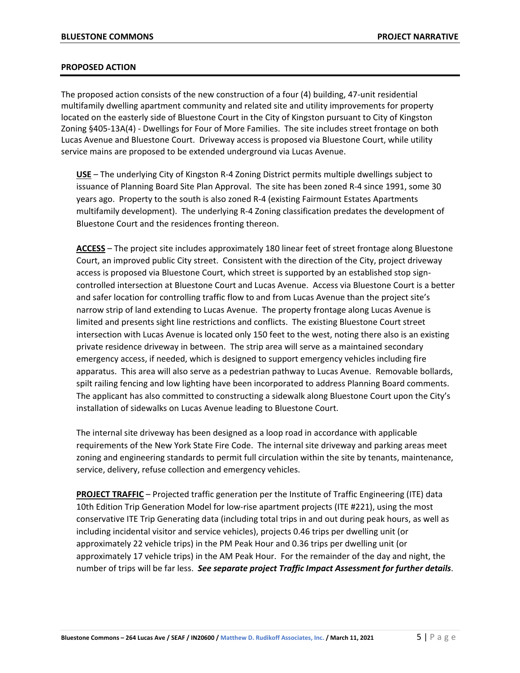#### **PROPOSED ACTION**

The proposed action consists of the new construction of a four (4) building, 47-unit residential multifamily dwelling apartment community and related site and utility improvements for property located on the easterly side of Bluestone Court in the City of Kingston pursuant to City of Kingston Zoning §405-13A(4) - Dwellings for Four of More Families. The site includes street frontage on both Lucas Avenue and Bluestone Court. Driveway access is proposed via Bluestone Court, while utility service mains are proposed to be extended underground via Lucas Avenue.

**USE** – The underlying City of Kingston R-4 Zoning District permits multiple dwellings subject to issuance of Planning Board Site Plan Approval. The site has been zoned R-4 since 1991, some 30 years ago. Property to the south is also zoned R-4 (existing Fairmount Estates Apartments multifamily development). The underlying R-4 Zoning classification predates the development of Bluestone Court and the residences fronting thereon.

**ACCESS** – The project site includes approximately 180 linear feet of street frontage along Bluestone Court, an improved public City street. Consistent with the direction of the City, project driveway access is proposed via Bluestone Court, which street is supported by an established stop signcontrolled intersection at Bluestone Court and Lucas Avenue. Access via Bluestone Court is a better and safer location for controlling traffic flow to and from Lucas Avenue than the project site's narrow strip of land extending to Lucas Avenue. The property frontage along Lucas Avenue is limited and presents sight line restrictions and conflicts. The existing Bluestone Court street intersection with Lucas Avenue is located only 150 feet to the west, noting there also is an existing private residence driveway in between. The strip area will serve as a maintained secondary emergency access, if needed, which is designed to support emergency vehicles including fire apparatus. This area will also serve as a pedestrian pathway to Lucas Avenue. Removable bollards, spilt railing fencing and low lighting have been incorporated to address Planning Board comments. The applicant has also committed to constructing a sidewalk along Bluestone Court upon the City's installation of sidewalks on Lucas Avenue leading to Bluestone Court.

The internal site driveway has been designed as a loop road in accordance with applicable requirements of the New York State Fire Code. The internal site driveway and parking areas meet zoning and engineering standards to permit full circulation within the site by tenants, maintenance, service, delivery, refuse collection and emergency vehicles.

**PROJECT TRAFFIC** – Projected traffic generation per the Institute of Traffic Engineering (ITE) data 10th Edition Trip Generation Model for low-rise apartment projects (ITE #221), using the most conservative ITE Trip Generating data (including total trips in and out during peak hours, as well as including incidental visitor and service vehicles), projects 0.46 trips per dwelling unit (or approximately 22 vehicle trips) in the PM Peak Hour and 0.36 trips per dwelling unit (or approximately 17 vehicle trips) in the AM Peak Hour. For the remainder of the day and night, the number of trips will be far less. *See separate project Traffic Impact Assessment for further details*.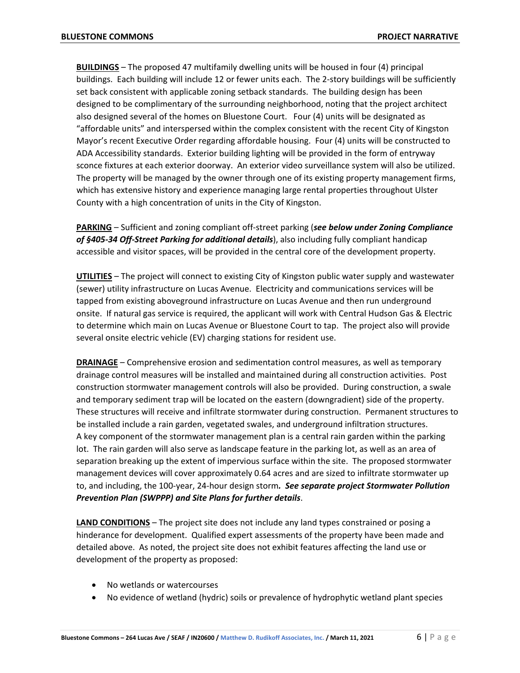**BUILDINGS** – The proposed 47 multifamily dwelling units will be housed in four (4) principal buildings. Each building will include 12 or fewer units each. The 2-story buildings will be sufficiently set back consistent with applicable zoning setback standards. The building design has been designed to be complimentary of the surrounding neighborhood, noting that the project architect also designed several of the homes on Bluestone Court. Four (4) units will be designated as "affordable units" and interspersed within the complex consistent with the recent City of Kingston Mayor's recent Executive Order regarding affordable housing. Four (4) units will be constructed to ADA Accessibility standards. Exterior building lighting will be provided in the form of entryway sconce fixtures at each exterior doorway. An exterior video surveillance system will also be utilized. The property will be managed by the owner through one of its existing property management firms, which has extensive history and experience managing large rental properties throughout Ulster County with a high concentration of units in the City of Kingston.

**PARKING** – Sufficient and zoning compliant off-street parking (*see below under Zoning Compliance of §405-34 Off-Street Parking for additional details*), also including fully compliant handicap accessible and visitor spaces, will be provided in the central core of the development property.

**UTILITIES** – The project will connect to existing City of Kingston public water supply and wastewater (sewer) utility infrastructure on Lucas Avenue. Electricity and communications services will be tapped from existing aboveground infrastructure on Lucas Avenue and then run underground onsite. If natural gas service is required, the applicant will work with Central Hudson Gas & Electric to determine which main on Lucas Avenue or Bluestone Court to tap. The project also will provide several onsite electric vehicle (EV) charging stations for resident use.

**DRAINAGE** – Comprehensive erosion and sedimentation control measures, as well as temporary drainage control measures will be installed and maintained during all construction activities. Post construction stormwater management controls will also be provided. During construction, a swale and temporary sediment trap will be located on the eastern (downgradient) side of the property. These structures will receive and infiltrate stormwater during construction. Permanent structures to be installed include a rain garden, vegetated swales, and underground infiltration structures. A key component of the stormwater management plan is a central rain garden within the parking lot. The rain garden will also serve as landscape feature in the parking lot, as well as an area of separation breaking up the extent of impervious surface within the site. The proposed stormwater management devices will cover approximately 0.64 acres and are sized to infiltrate stormwater up to, and including, the 100-year, 24-hour design storm*. See separate project Stormwater Pollution Prevention Plan (SWPPP) and Site Plans for further details*.

**LAND CONDITIONS** – The project site does not include any land types constrained or posing a hinderance for development. Qualified expert assessments of the property have been made and detailed above. As noted, the project site does not exhibit features affecting the land use or development of the property as proposed:

- No wetlands or watercourses
- No evidence of wetland (hydric) soils or prevalence of hydrophytic wetland plant species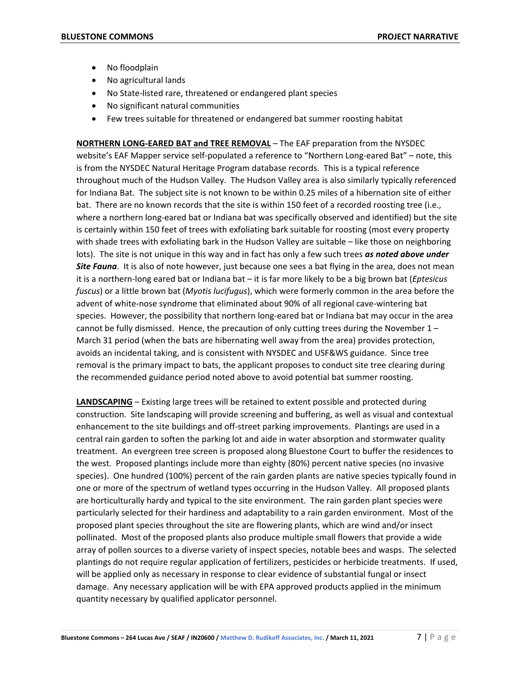- No floodplain
- No agricultural lands
- No State-listed rare, threatened or endangered plant species
- No significant natural communities
- Few trees suitable for threatened or endangered bat summer roosting habitat

**NORTHERN LONG-EARED BAT and TREE REMOVAL** – The EAF preparation from the NYSDEC website's EAF Mapper service self-populated a reference to "Northern Long-eared Bat" – note, this is from the NYSDEC Natural Heritage Program database records. This is a typical reference throughout much of the Hudson Valley. The Hudson Valley area is also similarly typically referenced for Indiana Bat. The subject site is not known to be within 0.25 miles of a hibernation site of either bat. There are no known records that the site is within 150 feet of a recorded roosting tree (i.e., where a northern long-eared bat or Indiana bat was specifically observed and identified) but the site is certainly within 150 feet of trees with exfoliating bark suitable for roosting (most every property with shade trees with exfoliating bark in the Hudson Valley are suitable – like those on neighboring lots). The site is not unique in this way and in fact has only a few such trees *as noted above under Site Fauna*. It is also of note however, just because one sees a bat flying in the area, does not mean it is a northern-long eared bat or Indiana bat – it is far more likely to be a big brown bat (*Eptesicus fuscus*) or a little brown bat (*Myotis lucifugus*), which were formerly common in the area before the advent of white-nose syndrome that eliminated about 90% of all regional cave-wintering bat species. However, the possibility that northern long-eared bat or Indiana bat may occur in the area cannot be fully dismissed. Hence, the precaution of only cutting trees during the November  $1 -$ March 31 period (when the bats are hibernating well away from the area) provides protection, avoids an incidental taking, and is consistent with NYSDEC and USF&WS guidance. Since tree removal is the primary impact to bats, the applicant proposes to conduct site tree clearing during the recommended guidance period noted above to avoid potential bat summer roosting.

**LANDSCAPING** – Existing large trees will be retained to extent possible and protected during construction. Site landscaping will provide screening and buffering, as well as visual and contextual enhancement to the site buildings and off-street parking improvements. Plantings are used in a central rain garden to soften the parking lot and aide in water absorption and stormwater quality treatment. An evergreen tree screen is proposed along Bluestone Court to buffer the residences to the west. Proposed plantings include more than eighty (80%) percent native species (no invasive species). One hundred (100%) percent of the rain garden plants are native species typically found in one or more of the spectrum of wetland types occurring in the Hudson Valley. All proposed plants are horticulturally hardy and typical to the site environment. The rain garden plant species were particularly selected for their hardiness and adaptability to a rain garden environment. Most of the proposed plant species throughout the site are flowering plants, which are wind and/or insect pollinated. Most of the proposed plants also produce multiple small flowers that provide a wide array of pollen sources to a diverse variety of inspect species, notable bees and wasps. The selected plantings do not require regular application of fertilizers, pesticides or herbicide treatments. If used, will be applied only as necessary in response to clear evidence of substantial fungal or insect damage. Any necessary application will be with EPA approved products applied in the minimum quantity necessary by qualified applicator personnel.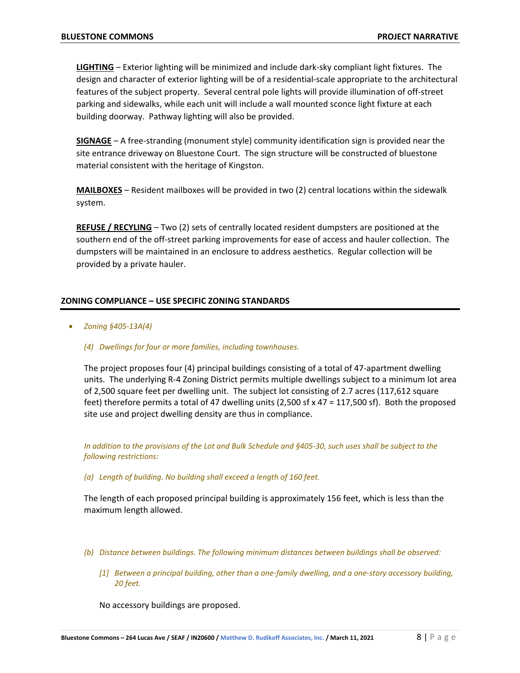**LIGHTING** – Exterior lighting will be minimized and include dark-sky compliant light fixtures. The design and character of exterior lighting will be of a residential-scale appropriate to the architectural features of the subject property. Several central pole lights will provide illumination of off-street parking and sidewalks, while each unit will include a wall mounted sconce light fixture at each building doorway. Pathway lighting will also be provided.

**SIGNAGE** – A free-stranding (monument style) community identification sign is provided near the site entrance driveway on Bluestone Court. The sign structure will be constructed of bluestone material consistent with the heritage of Kingston.

**MAILBOXES** – Resident mailboxes will be provided in two (2) central locations within the sidewalk system.

**REFUSE / RECYLING** – Two (2) sets of centrally located resident dumpsters are positioned at the southern end of the off-street parking improvements for ease of access and hauler collection. The dumpsters will be maintained in an enclosure to address aesthetics. Regular collection will be provided by a private hauler.

### **ZONING COMPLIANCE – USE SPECIFIC ZONING STANDARDS**

- *Zoning §405-13A(4)*
	- *(4) Dwellings for four or more families, including townhouses.*

The project proposes four (4) principal buildings consisting of a total of 47-apartment dwelling units. The underlying R-4 Zoning District permits multiple dwellings subject to a minimum lot area of 2,500 square feet per dwelling unit. The subject lot consisting of 2.7 acres (117,612 square feet) therefore permits a total of 47 dwelling units (2,500 sf x 47 = 117,500 sf). Both the proposed site use and project dwelling density are thus in compliance.

*In addition to the provisions of the Lot and Bulk Schedule and §405-30, such uses shall be subject to the following restrictions:*

*(a) Length of building. No building shall exceed a length of 160 feet.*

The length of each proposed principal building is approximately 156 feet, which is less than the maximum length allowed.

- *(b) Distance between buildings. The following minimum distances between buildings shall be observed:*
	- *[1] Between a principal building, other than a one-family dwelling, and a one-story accessory building, 20 feet.*

No accessory buildings are proposed.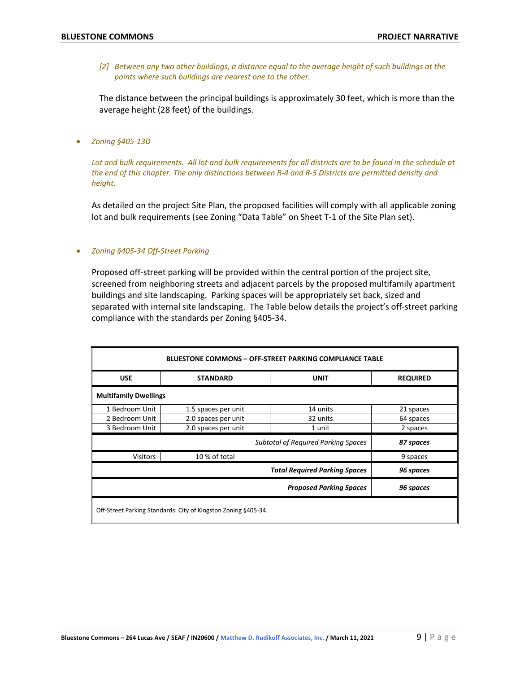*[2] Between any two other buildings, a distance equal to the average height of such buildings at the points where such buildings are nearest one to the other.*

The distance between the principal buildings is approximately 30 feet, which is more than the average height (28 feet) of the buildings.

• *Zoning §405-13D*

*Lot and bulk requirements. All lot and bulk requirements for all districts are to be found in the schedule at the end of this chapter. The only distinctions between R-4 and R-5 Districts are permitted density and height.*

As detailed on the project Site Plan, the proposed facilities will comply with all applicable zoning lot and bulk requirements (see Zoning "Data Table" on Sheet T-1 of the Site Plan set).

#### • *Zoning §405-34 Off-Street Parking*

Proposed off-street parking will be provided within the central portion of the project site, screened from neighboring streets and adjacent parcels by the proposed multifamily apartment buildings and site landscaping. Parking spaces will be appropriately set back, sized and separated with internal site landscaping. The Table below details the project's off-street parking compliance with the standards per Zoning §405-34.

| <b>BLUESTONE COMMONS - OFF-STREET PARKING COMPLIANCE TABLE</b> |                                |                                                                                    |
|----------------------------------------------------------------|--------------------------------|------------------------------------------------------------------------------------|
| <b>STANDARD</b>                                                | <b>UNIT</b>                    | <b>REQUIRED</b>                                                                    |
|                                                                |                                |                                                                                    |
| 1.5 spaces per unit                                            | 14 units                       | 21 spaces                                                                          |
| 2.0 spaces per unit                                            | 32 units                       | 64 spaces                                                                          |
| 2.0 spaces per unit                                            | 1 unit                         | 2 spaces                                                                           |
|                                                                |                                | 87 spaces                                                                          |
| 10 % of total                                                  |                                | 9 spaces                                                                           |
|                                                                |                                | 96 spaces                                                                          |
|                                                                | <b>Proposed Parking Spaces</b> | 96 spaces                                                                          |
|                                                                |                                | <b>Subtotal of Required Parking Spaces</b><br><b>Total Required Parking Spaces</b> |